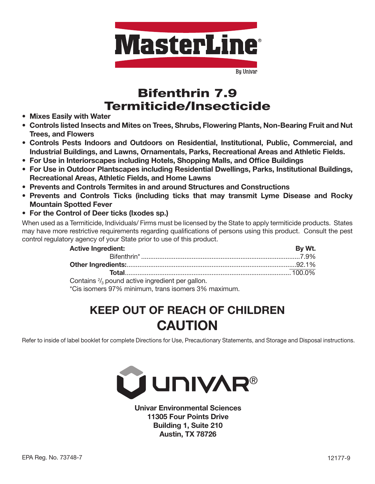

# Bifenthrin 7.9 Termiticide/Insecticide

- **Mixes Easily with Water**
- **Controls listed Insects and Mites on Trees, Shrubs, Flowering Plants, Non-Bearing Fruit and Nut Trees, and Flowers**
- **Controls Pests Indoors and Outdoors on Residential, Institutional, Public, Commercial, and Industrial Buildings, and Lawns, Ornamentals, Parks, Recreational Areas and Athletic Fields.**
- **For Use in Interiorscapes including Hotels, Shopping Malls, and Office Buildings**
- **For Use in Outdoor Plantscapes including Residential Dwellings, Parks, Institutional Buildings, Recreational Areas, Athletic Fields, and Home Lawns**
- **Prevents and Controls Termites in and around Structures and Constructions**
- **Prevents and Controls Ticks (including ticks that may transmit Lyme Disease and Rocky Mountain Spotted Fever**
- **For the Control of Deer ticks (Ixodes sp.)**

When used as a Termiticide, Individuals/ Firms must be licensed by the State to apply termiticide products. States may have more restrictive requirements regarding qualifications of persons using this product. Consult the pest control regulatory agency of your State prior to use of this product.

| <b>Active Ingredient:</b>                                  | By Wt. |
|------------------------------------------------------------|--------|
|                                                            |        |
|                                                            |        |
|                                                            |        |
| Contains $\frac{2}{3}$ pound active ingredient per gallon. |        |

\*Cis isomers 97% minimum, trans isomers 3% maximum.

# **KEEP OUT OF REACH OF CHILDREN CAUTION**

Refer to inside of label booklet for complete Directions for Use, Precautionary Statements, and Storage and Disposal instructions.



**Univar Environmental Sciences 11305 Four Points Drive Building 1, Suite 210 Austin, TX 78726**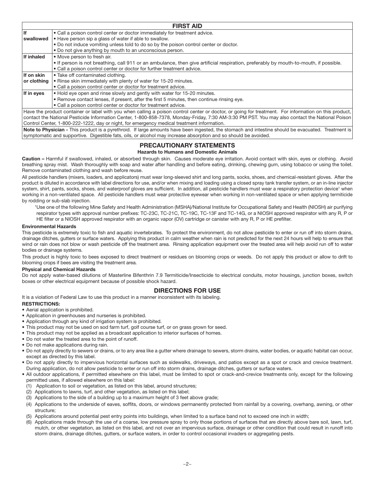|             | <b>FIRST AID</b>                                                                                                                                                                                                                                                                                                                                                                                       |
|-------------|--------------------------------------------------------------------------------------------------------------------------------------------------------------------------------------------------------------------------------------------------------------------------------------------------------------------------------------------------------------------------------------------------------|
| l If        | • Call a poison control center or doctor immediately for treatment advice.                                                                                                                                                                                                                                                                                                                             |
| swallowed   | • Have person sip a glass of water if able to swallow.                                                                                                                                                                                                                                                                                                                                                 |
|             | . Do not induce vomiting unless told to do so by the poison control center or doctor.                                                                                                                                                                                                                                                                                                                  |
|             | • Do not give anything by mouth to an unconscious person.                                                                                                                                                                                                                                                                                                                                              |
| If inhaled  | • Move person to fresh air.                                                                                                                                                                                                                                                                                                                                                                            |
|             | • If person is not breathing, call 911 or an ambulance, then give artificial respiration, preferably by mouth-to-mouth, if possible.                                                                                                                                                                                                                                                                   |
|             | • Call a poison control center or doctor for further treatment advice.                                                                                                                                                                                                                                                                                                                                 |
| If on skin  | • Take off contaminated clothing.                                                                                                                                                                                                                                                                                                                                                                      |
| or clothing | • Rinse skin immediately with plenty of water for 15-20 minutes.                                                                                                                                                                                                                                                                                                                                       |
|             | • Call a poison control center or doctor for treatment advice.                                                                                                                                                                                                                                                                                                                                         |
| If in eyes  | . Hold eye open and rinse slowly and gently with water for 15-20 minutes.                                                                                                                                                                                                                                                                                                                              |
|             | • Remove contact lenses, if present, after the first 5 minutes, then continue rinsing eye.                                                                                                                                                                                                                                                                                                             |
|             | • Call a poison control center or doctor for treatment advice.                                                                                                                                                                                                                                                                                                                                         |
|             | Have the product container or label with you when calling a poison control center or doctor, or going for treatment. For information on this product,<br>contact the National Pesticide Information Center, 1-800-858-7378, Monday-Friday, 7:30 AM-3:30 PM PST. You may also contact the National Poison<br>Control Center, 1-800-222-1222, day or night, for emergency medical treatment information. |

Note to Physician - This product is a pyrethroid. If large amounts have been ingested, the stomach and intestine should be evacuated. Treatment is symptomatic and supportive. Digestible fats, oils, or alcohol may increase absorption and so should be avoided.

## **PRECAUTIONARY STATEMENTS**

#### **Hazards to Humans and Domestic Animals**

**Caution –** Harmful if swallowed, inhaled, or absorbed through skin. Causes moderate eye irritation. Avoid contact with skin, eyes or clothing. Avoid breathing spray mist. Wash thoroughly with soap and water after handling and before eating, drinking, chewing gum, using tobacco or using the toilet. Remove contaminated clothing and wash before reuse.

All pesticide handlers (mixers, loaders, and applicators) must wear long-sleeved shirt and long pants, socks, shoes, and chemical-resistant gloves. After the product is diluted in accordance with label directions for use, and/or when mixing and loading using a closed spray tank transfer system, or an in-line injector system, shirt, pants, socks, shoes, and waterproof gloves are sufficient. In addition, all pesticide handlers must wear a respiratory protection device<sup>1</sup> when working in a non-ventilated space. All pesticide handlers must wear protective eyewear when working in non-ventilated space or when applying termiticide by rodding or sub-slab injection.

 1 Use one of the following Mine Safety and Health Administration (MSHA)/National Institute for Occupational Safety and Health (NIOSH) air purifying respirator types with approval number prefixes: TC-23C, TC-21C, TC-19C, TC-13F and TC-14G, or a NIOSH approved respirator with any R, P or HE filter or a NIOSH approved respirator with an organic vapor (OV) cartridge or canister with any R, P or HE prefilter.

#### **Environmental Hazards**

This pesticide is extremely toxic to fish and aquatic invertebrates. To protect the environment, do not allow pesticide to enter or run off into storm drains, drainage ditches, gutters or surface waters. Applying this product in calm weather when rain is not predicted for the next 24 hours will help to ensure that wind or rain does not blow or wash pesticide off the treatment area. Rinsing application equipment over the treated area will help avoid run off to water bodies or drainage systems.

This product is highly toxic to bees exposed to direct treatment or residues on blooming crops or weeds. Do not apply this product or allow to drift to blooming crops if bees are visiting the treatment area.

#### **Physical and Chemical Hazards**

Do not apply water-based dilutions of Masterline Bifenthrin 7.9 Termiticide/Insecticide to electrical conduits, motor housings, junction boxes, switch boxes or other electrical equipment because of possible shock hazard.

## **DIRECTIONS FOR USE**

It is a violation of Federal Law to use this product in a manner inconsistent with its labeling.

## **RESTRICTIONS:**

- Aerial application is prohibited.
- Application in greenhouses and nurseries is prohibited.
- Application through any kind of irrigation system is prohibited.
- This product may not be used on sod farm turf, golf course turf, or on grass grown for seed.
- This product may not be applied as a broadcast application to interior surfaces of homes.
- Do not water the treated area to the point of runoff.
- Do not make applications during rain.
- Do not apply directly to sewers or drains, or to any area like a gutter where drainage to sewers, storm drains, water bodies, or aquatic habitat can occur, except as directed by this label.
- Do not apply directly to impervious horizontal surfaces such as sidewalks, driveways, and patios except as a spot or crack and crevice treatment. During application, do not allow pesticide to enter or run off into storm drains, drainage ditches, gutters or surface waters.
- All outdoor applications, if permitted elsewhere on this label, must be limited to spot or crack-and-crevice treatments only, except for the following permitted uses, if allowed elsewhere on this label:
- (1) Application to soil or vegetation, as listed on this label, around structures;
- (2) Applications to lawns, turf, and other vegetation, as listed on this label;
- (3) Applications to the side of a building up to a maximum height of 3 feet above grade;
- (4) Applications to the underside of eaves, soffits, doors, or windows permanently protected from rainfall by a covering, overhang, awning, or other structure;
- (5) Applications around potential pest entry points into buildings, when limited to a surface band not to exceed one inch in width;
- (6) Applications made through the use of a coarse, low pressure spray to only those portions of surfaces that are directly above bare soil, lawn, turf, mulch, or other vegetation, as listed on this label, and not over an impervious surface, drainage or other condition that could result in runoff into storm drains, drainage ditches, gutters, or surface waters, in order to control occasional invaders or aggregating pests.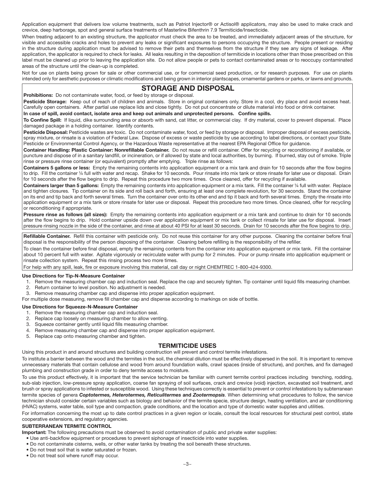Application equipment that delivers low volume treatments, such as Patriot Injector® or Actisol® applicators, may also be used to make crack and crevice, deep harborage, spot and general surface treatments of Masterline Bifenthrin 7.9 Termiticide/Insecticide.

When treating adjacent to an existing structure, the applicator must check the area to be treated, and immediately adjacent areas of the structure, for visible and accessible cracks and holes to prevent any leaks or significant exposures to persons occupying the structure. People present or residing in the structure during application must be advised to remove their pets and themselves from the structure if they see any signs of leakage. After application, the applicator is required to check for leaks. All leaks resulting in the deposition of termiticide in locations other than those prescribed on this label must be cleaned up prior to leaving the application site. Do not allow people or pets to contact contaminated areas or to reoccupy contaminated areas of the structure until the clean-up is completed.

Not for use on plants being grown for sale or other commercial use, or for commercial seed production, or for research purposes. For use on plants intended only for aesthetic purposes or climatic modifications and being grown in interior plantscapes, ornamental gardens or parks, or lawns and grounds.

# **STORAGE AND DISPOSAL**

**Prohibitions:** Do not contaminate water, food, or feed by storage or disposal.

Pesticide Storage: Keep out of reach of children and animals. Store in original containers only. Store in a cool, dry place and avoid excess heat. Carefully open containers. After partial use replace lids and close tightly. Do not put concentrate or dilute material into food or drink container.

## **In case of spill, avoid contact, isolate area and keep out animals and unprotected persons. Confine spills.**

**To Confine Spill:** If liquid, dike surrounding area or absorb with sand, cat litter, or commercial clay. If dry material, cover to prevent dispersal. Place damaged package in a holding container. Identify contents.

Pesticide Disposal: Pesticide wastes are toxic. Do not contaminate water, food, or feed by storage or disposal. Improper disposal of excess pesticide, spray mixture, or rinsate is a violation of Federal Law. Dispose of excess or waste pesticide by use according to label directions, or contact your State Pesticide or Environmental Control Agency, or the Hazardous Waste representative at the nearest EPA Regional Office for guidance.

**Container Handling: Plastic Container: Nonrefillable Container.** Do not reuse or refill container. Offer for recycling or reconditioning if available, or puncture and dispose of in a sanitary landfill, or incineration, or if allowed by state and local authorities, by burning. If burned, stay out of smoke. Triple rinse or pressure rinse container (or equivalent) promptly after emptying. Triple rinse as follows:

**Containers 5 gallons or less:** Empty the remaining contents into application equipment or a mix tank and drain for 10 seconds after the flow begins to drip. Fill the container 1/4 full with water and recap. Shake for 10 seconds. Pour rinsate into mix tank or store rinsate for later use or disposal. Drain for 10 seconds after the flow begins to drip. Repeat this procedure two more times. Once cleaned, offer for recycling if available.

**Containers larger than 5 gallons:** Empty the remaining contents into application equipment or a mix tank. Fill the container ¼ full with water. Replace and tighten closures. Tip container on its side and roll back and forth, ensuring at least one complete revolution, for 30 seconds. Stand the container on its end and tip back and forth several times. Turn the container over onto its other end and tip it back and forth several times. Empty the rinsate into application equipment or a mix tank or store rinsate for later use or disposal. Repeat this procedure two more times. Once cleaned, offer for recycling or reconditioning if appropriate.

**Pressure rinse as follows (all sizes):** Empty the remaining contents into application equipment or a mix tank and continue to drain for 10 seconds after the flow begins to drip. Hold container upside down over application equipment or mix tank or collect rinsate for later use for disposal. Insert pressure rinsing nozzle in the side of the container, and rinse at about 40 PSI for at least 30 seconds. Drain for 10 seconds after the flow begins to drip.

**Refillable Container.** Refill this container with pesticide only. Do not reuse this container for any other purpose. Cleaning the container before final disposal is the responsibility of the person disposing of the container. Cleaning before refilling is the responsibility of the refiller.

To clean the container before final disposal, empty the remaining contents from the container into application equipment or mix tank. Fill the container about 10 percent full with water. Agitate vigorously or recirculate water with pump for 2 minutes. Pour or pump rinsate into application equipment or rinsate collection system. Repeat this rinsing process two more times.

For help with any spill, leak, fire or exposure involving this material, call day or night CHEMTREC 1-800-424-9300.

#### **Use Directions for Tip-N-Measure Container**

- 1. Remove the measuring chamber cap and induction seal. Replace the cap and securely tighten. Tip container until liquid fills measuring chamber.
- 2. Return container to level position. No adjustment is needed.
- 3. Remove measuring chamber cap and dispense into proper application equipment.
- For multiple dose measuring, remove fill chamber cap and dispense according to markings on side of bottle.

#### **Use Directions for Squeeze-N-Measure Container**

- 1. Remove the measuring chamber cap and induction seal.
- 2. Replace cap loosely on measuring chamber to allow venting.
- 3. Squeeze container gently until liquid fills measuring chamber.
- 4. Remove measuring chamber cap and dispense into proper application equipment.
- 5. Replace cap onto measuring chamber and tighten.

## **TERMITICIDE USES**

Using this product in and around structures and building construction will prevent and control termite infestations.

To institute a barrier between the wood and the termites in the soil, the chemical dilution must be effectively dispersed in the soil. It is important to remove unnecessary materials that contain cellulose and wood from around foundation walls, crawl spaces (inside of structure), and porches, and fix damaged plumbing and construction grade in order to deny termite access to moisture.

To use this product effectively, it is important that the service technician be familiar with current termite control practices including trenching, rodding, sub-slab injection, low-pressure spray application, coarse fan spraying of soil surfaces, crack and crevice (void) injection, excavated soil treatment, and brush or spray applications to infested or susceptible wood. Using these techniques correctly is essential to prevent or control infestations by subterranean termite species of genera *Coptotermes, Heterotermes, Reticulitermes* **and** *Zootermopsis*. When determining what procedures to follow, the service technician should consider certain variables such as biology and behavior of the termite specie, structure design, heating ventilation, and air conditioning (HVAC) systems, water table, soil type and compaction, grade conditions, and the location and type of domestic water supplies and utilities.

For information concerning the most up to date control practices in a given region or locale, consult the local resources for structural pest control, state cooperative extensions, and regulatory agencies.

#### **SUBTERRANEAN TERMITE CONTROL**

**Important:** The following precautions must be observed to avoid contamination of public and private water supplies:

- Use anti-backflow equipment or procedures to prevent siphonage of insecticide into water supplies.
- Do not contaminate cisterns, wells, or other water tanks by treating the soil beneath these structures.
- Do not treat soil that is water saturated or frozen.
- Do not treat soil where runoff may occur.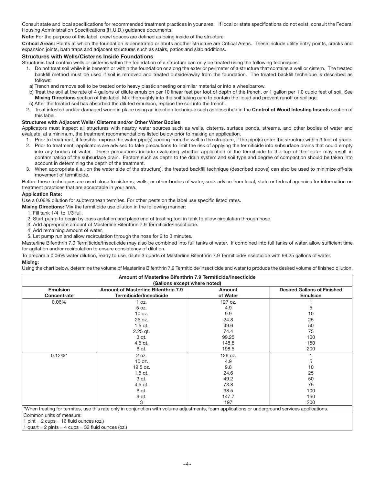Consult state and local specifications for recommended treatment practices in your area. If local or state specifications do not exist, consult the Federal Housing Administration Specifications (H.U.D.) guidance documents.

**Note:** For the purpose of this label, crawl spaces are defined as being inside of the structure.

**Critical Areas:** Points at which the foundation is penetrated or abuts another structure are Critical Areas. These include utility entry points, cracks and expansion joints, bath traps and adjacent structures such as stairs, patios and slab additions.

## **Structures with Wells/Cisterns Inside Foundations**

Structures that contain wells or cisterns within the foundation of a structure can only be treated using the following techniques:

- 1. Do not treat soil while it is beneath or within the foundation or along the exterior perimeter of a structure that contains a well or cistern. The treated backfill method must be used if soil is removed and treated outside/away from the foundation. The treated backfill technique is described as follows:
- a) Trench and remove soil to be treated onto heavy plastic sheeting or similar material or into a wheelbarrow.
- b) Treat the soil at the rate of 4 gallons of dilute emulsion per 10 linear feet per foot of depth of the trench, or 1 gallon per 1.0 cubic feet of soil. See **Mixing Directions** section of this label. Mix thoroughly into the soil taking care to contain the liquid and prevent runoff or spillage.
- c) After the treated soil has absorbed the diluted emulsion, replace the soil into the trench.
- 2. Treat infested and/or damaged wood in place using an injection technique such as described in the **Control of Wood Infesting Insects** section of this label.

## **Structures with Adjacent Wells/ Cisterns and/or Other Water Bodies**

Applicators must inspect all structures with nearby water sources such as wells, cisterns, surface ponds, streams, and other bodies of water and evaluate, at a minimum, the treatment recommendations listed below prior to making an application.

- 1. Prior to treatment, if feasible, expose the water pipe(s) coming from the well to the structure, if the pipe(s) enter the structure within 3 feet of grade.
- 2. Prior to treatment, applicators are advised to take precautions to limit the risk of applying the termiticide into subsurface drains that could empty into any bodies of water. These precautions include evaluating whether application of the termiticide to the top of the footer may result in contamination of the subsurface drain. Factors such as depth to the drain system and soil type and degree of compaction should be taken into account in determining the depth of the treatment.
- 3. When appropriate (i.e., on the water side of the structure), the treated backfill technique (described above) can also be used to minimize off-site movement of termiticide.

Before these techniques are used close to cisterns, wells, or other bodies of water, seek advice from local, state or federal agencies for information on treatment practices that are acceptable in your area.

## **Application Rate:**

Use a 0.06% dilution for subterranean termites. For other pests on the label use specific listed rates.

**Mixing Directions:** Mix the termiticide use dilution in the following manner:

- 1. Fill tank 1/4 to 1/3 full.
- 2. Start pump to begin by-pass agitation and place end of treating tool in tank to allow circulation through hose.
- 3. Add appropriate amount of Masterline Bifenthrin 7.9 Termiticide/Insecticide.
- 4. Add remaining amount of water.
- 5. Let pump run and allow recirculation through the hose for 2 to 3 minutes.

Masterline Bifenthrin 7.9 Termiticide/Insecticide may also be combined into full tanks of water. If combined into full tanks of water, allow sufficient time for agitation and/or recirculation to ensure consistency of dilution.

To prepare a 0.06% water dilution, ready to use, dilute 3 quarts of Masterline Bifenthrin 7.9 Termiticide/Insecticide with 99.25 gallons of water. **Mixing:**

Using the chart below, determine the volume of Masterline Bifenthrin 7.9 Termiticide/Insecticide and water to produce the desired volume of finished dilution.

| Amount of Masterline Bifenthrin 7.9 Termiticide/Insecticide |                                                                                                                                                 |          |                 |  |  |  |
|-------------------------------------------------------------|-------------------------------------------------------------------------------------------------------------------------------------------------|----------|-----------------|--|--|--|
| (Gallons except where noted)                                |                                                                                                                                                 |          |                 |  |  |  |
| <b>Emulsion</b>                                             | <b>Amount of Masterline Bifenthrin 7.9</b><br><b>Desired Gallons of Finished</b><br>Amount                                                      |          |                 |  |  |  |
| Concentrate                                                 | Termiticide/Insecticide                                                                                                                         | of Water | <b>Emulsion</b> |  |  |  |
| 0.06%                                                       | 1 oz.                                                                                                                                           | 127 oz.  |                 |  |  |  |
|                                                             | 5 oz.                                                                                                                                           | 4.9      | 5               |  |  |  |
|                                                             | 10 oz.                                                                                                                                          | 9.9      | 10              |  |  |  |
|                                                             | 25 oz.                                                                                                                                          | 24.8     | 25              |  |  |  |
|                                                             | $1.5$ qt.                                                                                                                                       | 49.6     | 50              |  |  |  |
|                                                             | $2.25$ gt.                                                                                                                                      | 74.4     | 75              |  |  |  |
|                                                             | 3 qt.                                                                                                                                           | 99.25    | 100             |  |  |  |
|                                                             | $4.5$ qt.                                                                                                                                       | 148.8    | 150             |  |  |  |
|                                                             | 6 qt.                                                                                                                                           | 198.5    | 200             |  |  |  |
| $0.12\%$ *                                                  | 2 oz.                                                                                                                                           | 126 oz.  |                 |  |  |  |
|                                                             | 10 oz.                                                                                                                                          | 4.9      | 5               |  |  |  |
|                                                             | 19.5 oz.                                                                                                                                        | 9.8      | 10              |  |  |  |
|                                                             | $1.5$ qt.                                                                                                                                       | 24.6     | 25              |  |  |  |
|                                                             | 3 gt.                                                                                                                                           | 49.2     | 50              |  |  |  |
|                                                             | $4.5$ qt.                                                                                                                                       | 73.8     | 75              |  |  |  |
|                                                             | 6 qt.                                                                                                                                           | 98.5     | 100             |  |  |  |
|                                                             | 9 qt.                                                                                                                                           | 147.7    | 150             |  |  |  |
|                                                             | З                                                                                                                                               | 197      | 200             |  |  |  |
|                                                             | *When treating for termites, use this rate only in conjunction with volume adjustments, foam applications or underground services applications. |          |                 |  |  |  |

Common units of measure:

1 pint =  $2 \text{ cups} = 16 \text{ fluid ounces}$  (oz.)

1 quart = 2 pints = 4 cups = 32 fluid ounces (oz.)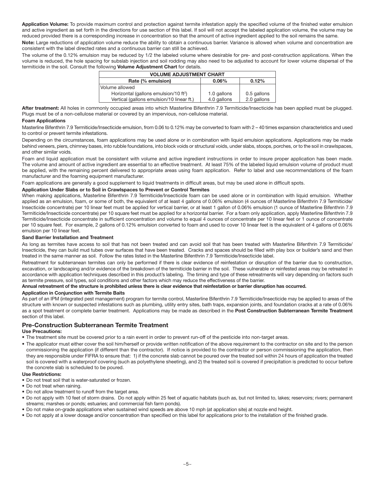**Application Volume:** To provide maximum control and protection against termite infestation apply the specified volume of the finished water emulsion and active ingredient as set forth in the directions for use section of this label. If soil will not accept the labeled application volume, the volume may be reduced provided there is a corresponding increase in concentration so that the amount of active ingredient applied to the soil remains the same.

**Note:** Large reductions of application volume reduce the ability to obtain a continuous barrier. Variance is allowed when volume and concentration are consistent with the label directed rates and a continuous barrier can still be achieved.

The volume of the 0.12% emulsion may be reduced by 1/2 the labeled volume where desirable for pre- and post-construction applications. When the volume is reduced, the hole spacing for subslab injection and soil rodding may also need to be adjusted to account for lower volume dispersal of the termiticide in the soil. Consult the following **Volume Adjustment Chart** for details.

| <b>VOLUME ADJUSTMENT CHART</b>                    |             |             |  |  |  |
|---------------------------------------------------|-------------|-------------|--|--|--|
| Rate (% emulsion)<br>0.12%<br>$0.06\%$            |             |             |  |  |  |
| Volume allowed                                    |             |             |  |  |  |
| Horizontal (gallons emulsion/10 ft <sup>2</sup> ) | 1.0 gallons | 0.5 gallons |  |  |  |
| Vertical (gallons emulsion/10 linear ft.)         | 4.0 gallons | 2.0 gallons |  |  |  |

After treatment: All holes in commonly occupied areas into which Masterline Bifenthrin 7.9 Termiticide/Insecticide has been applied must be plugged. Plugs must be of a non-cellulose material or covered by an impervious, non-cellulose material.

#### **Foam Applications**

Masterline Bifenthrin 7.9 Termiticide/Insecticide emulsion, from 0.06 to 0.12% may be converted to foam with 2 - 40 times expansion characteristics and used to control or prevent termite infestations.

Depending on the circumstances, foam applications may be used alone or in combination with liquid emulsion applications. Applications may be made behind veneers, piers, chimney bases, into rubble foundations, into block voids or structural voids, under slabs, stoops, porches, or to the soil in crawlspaces, and other similar voids.

Foam and liquid application must be consistent with volume and active ingredient instructions in order to insure proper application has been made. The volume and amount of active ingredient are essential to an effective treatment. At least 75% of the labeled liquid emulsion volume of product must be applied, with the remaining percent delivered to appropriate areas using foam application. Refer to label and use recommendations of the foam manufacturer and the foaming equipment manufacturer.

Foam applications are generally a good supplement to liquid treatments in difficult areas, but may be used alone in difficult spots.

#### **Application Under Slabs or to Soil in Crawlspaces to Prevent or Control Termites**

When making applications, Masterline Bifenthrin 7.9 Termiticide/Insecticide foam can be used alone or in combination with liquid emulsion. Whether applied as an emulsion, foam, or some of both, the equivalent of at least 4 gallons of 0.06% emulsion (4 ounces of Masterline Bifenthrin 7.9 Termiticide/ Insecticide concentrate) per 10 linear feet must be applied for vertical barrier, or at least 1 gallon of 0.06% emulsion (1 ounce of Masterline Bifenthrin 7.9 Termiticide/Insecticide concentrate) per 10 square feet must be applied for a horizontal barrier. For a foam only application, apply Masterline Bifenthrin 7.9 Termiticide/Insecticide concentrate in sufficient concentration and volume to equal 4 ounces of concentrate per 10 linear feet or 1 ounce of concentrate per 10 square feet. For example, 2 gallons of 0.12% emulsion converted to foam and used to cover 10 linear feet is the equivalent of 4 gallons of 0.06% emulsion per 10 linear feet.

#### **Sand Barrier Installation and Treatment**

As long as termites have access to soil that has not been treated and can avoid soil that has been treated with Masterline Bifenthrin 7.9 Termiticide/ Insecticide, they can build mud tubes over surfaces that have been treated. Cracks and spaces should be filled with play box or builder's sand and then treated in the same manner as soil. Follow the rates listed in the Masterline Bifenthrin 7.9 Termiticide/Insecticide label.

Retreatment for subterranean termites can only be performed if there is clear evidence of reinfestation or disruption of the barrier due to construction, excavation, or landscaping and/or evidence of the breakdown of the termiticide barrier in the soil. These vulnerable or reinfested areas may be retreated in accordance with application techniques described in this product's labeling. The timing and type of these retreatments will vary depending on factors such as termite pressure, soil types, soil conditions and other factors which may reduce the effectiveness of the barrier.

## **Annual retreatment of the structure is prohibited unless there is clear evidence that reinfestation or barrier disruption has occurred.**

#### **Application in Conjunction with Termite Baits**

As part of an IPM (integrated pest management) program for termite control, Masterline Bifenthrin 7.9 Termiticide/Insecticide may be applied to areas of the structure with known or suspected infestations such as plumbing, utility entry sites, bath traps, expansion joints, and foundation cracks at a rate of 0.06% as a spot treatment or complete barrier treatment. Applications may be made as described in the **Post Construction Subterranean Termite Treatment**  section of this label.

## **Pre-Construction Subterranean Termite Treatment**

#### **Use Precautions:**

• The treatment site must be covered prior to a rain event in order to prevent run-off of the pesticide into non-target areas.

• The applicator must either cover the soil him/herself or provide written notification of the above requirement to the contractor on site and to the person commissioning the application (if different than the contractor). If notice is provided to the contractor or person commissioning the application, then they are responsible under FIFRA to ensure that: 1) if the concrete slab cannot be poured over the treated soil within 24 hours of application the treated soil is covered with a waterproof covering (such as polyethylene sheeting), and 2) the treated soil is covered if precipitation is predicted to occur before the concrete slab is scheduled to be poured.

#### **Use Restrictions:**

- Do not treat soil that is water-saturated or frozen.
- Do not treat when raining.
- Do not allow treatment to runoff from the target area.
- Do not apply with 10 feet of storm drains. Do not apply within 25 feet of aquatic habitats (such as, but not limited to, lakes; reservoirs; rivers; permanent streams; marshes or ponds; estuaries; and commercial fish farm ponds).
- Do not make on-grade applications when sustained wind speeds are above 10 mph (at application site) at nozzle end height.
- Do not apply at a lower dosage and/or concentration than specified on this label for applications prior to the installation of the finished grade.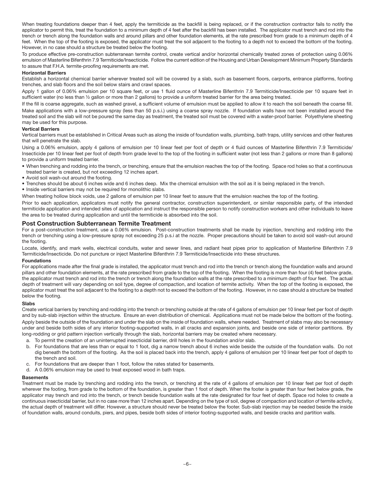When treating foundations deeper than 4 feet, apply the termiticide as the backfill is being replaced, or if the construction contractor fails to notify the applicator to permit this, treat the foundation to a minimum depth of 4 feet after the backfill has been installed. The applicator must trench and rod into the trench or trench along the foundation walls and around pillars and other foundation elements, at the rate prescribed from grade to a minimum depth of 4 feet. When the top of the footing is exposed, the applicator must treat the soil adjacent to the footing to a depth not to exceed the bottom of the footing. However, in no case should a structure be treated below the footing.

To produce effective pre-construction subterranean termite control, create vertical and/or horizontal chemically treated zones of protection using 0.06% emulsion of Masterline Bifenthrin 7.9 Termiticide/Insecticide. Follow the current edition of the Housing and Urban Development Minimum Property Standards to assure that F.H.A. termite-proofing requirements are met.

#### **Horizontal Barriers**

Establish a horizontal chemical barrier wherever treated soil will be covered by a slab, such as basement floors, carports, entrance platforms, footing trenches, and slab floors and the soil below stairs and crawl spaces.

Apply 1 gallon of 0.06% emulsion per 10 square feet, or use 1 fluid ounce of Masterline Bifenthrin 7.9 Termiticide/Insecticide per 10 square feet in sufficient water (no less than ½ gallon or more than 2 gallons) to provide a uniform treated barrier for the area being treated.

If the fill is coarse aggregate, such as washed gravel, a sufficient volume of emulsion must be applied to allow it to reach the soil beneath the coarse fill. Make applications with a low-pressure spray (less than 50 p.s.i.) using a coarse spray nozzle. If foundation walls have not been installed around the treated soil and the slab will not be poured the same day as treatment, the treated soil must be covered with a water-proof barrier. Polyethylene sheeting may be used for this purpose.

#### **Vertical Barriers**

Vertical barriers must be established in Critical Areas such as along the inside of foundation walls, plumbing, bath traps, utility services and other features that will penetrate the slab.

Using a 0.06% emulsion, apply 4 gallons of emulsion per 10 linear feet per foot of depth or 4 fluid ounces of Masterline Bifenthrin 7.9 Termiticide/ Insecticide per 10 linear feet per foot of depth from grade level to the top of the footing in sufficient water (not less than 2 gallons or more than 8 gallons) to provide a uniform treated barrier.

- When trenching and rodding into the trench, or trenching, ensure that the emulsion reaches the top of the footing. Space rod holes so that a continuous treated barrier is created, but not exceeding 12 inches apart.
- Avoid soil wash-out around the footing.
- Trenches should be about 6 inches wide and 6 inches deep. Mix the chemical emulsion with the soil as it is being replaced in the trench.
- Inside vertical barriers may not be required for monolithic slabs.

When treating hollow block voids, use 2 gallons of emulsion per 10 linear feet to assure that the emulsion reaches the top of the footing.

Prior to each application, applicators must notify the general contractor, construction superintendent, or similar responsible party, of the intended termiticide application and intended sites of application and instruct the responsible person to notify construction workers and other individuals to leave the area to be treated during application and until the termiticide is absorbed into the soil.

## **Post Construction Subterranean Termite Treatment**

For a post-construction treatment, use a 0.06% emulsion. Post-construction treatments shall be made by injection, trenching and rodding into the trench or trenching using a low-pressure spray not exceeding 25 p.s.i at the nozzle. Proper precautions should be taken to avoid soil wash-out around the footing.

Locate, identify, and mark wells, electrical conduits, water and sewer lines, and radiant heat pipes prior to application of Masterline Bifenthrin 7.9 Termiticide/Insecticide. Do not puncture or inject Masterline Bifenthrin 7.9 Termiticide/Insecticide into these structures.

#### **Foundations**

For applications made after the final grade is installed, the applicator must trench and rod into the trench or trench along the foundation walls and around pillars and other foundation elements, at the rate prescribed from grade to the top of the footing. When the footing is more than four (4) feet below grade, the applicator must trench and rod into the trench or trench along the foundation walls at the rate prescribed to a minimum depth of four feet. The actual depth of treatment will vary depending on soil type, degree of compaction, and location of termite activity. When the top of the footing is exposed, the applicator must treat the soil adjacent to the footing to a depth not to exceed the bottom of the footing. However, in no case should a structure be treated below the footing.

#### **Slabs**

Create vertical barriers by trenching and rodding into the trench or trenching outside at the rate of 4 gallons of emulsion per 10 linear feet per foot of depth and by sub-slab injection within the structure. Ensure an even distribution of chemical. Applications must not be made below the bottom of the footing. Apply beside the outside of the foundation and under the slab on the inside of foundation walls, where needed. Treatment of slabs may also be necessary under and beside both sides of any interior footing-supported walls, in all cracks and expansion joints, and beside one side of interior partitions. By long-rodding or grid pattern injection vertically through the slab, horizontal barriers may be created where necessary.

- a. To permit the creation of an uninterrupted insecticidal barrier, drill holes in the foundation and/or slab.
- b. For foundations that are less than or equal to 1 foot, dig a narrow trench about 6 inches wide beside the outside of the foundation walls. Do not dig beneath the bottom of the footing. As the soil is placed back into the trench, apply 4 gallons of emulsion per 10 linear feet per foot of depth to the trench and soil.
- c. For foundations that are deeper than 1 foot, follow the rates stated for basements.
- d. A 0.06% emulsion may be used to treat exposed wood in bath traps.

#### **Basements**

Treatment must be made by trenching and rodding into the trench, or trenching at the rate of 4 gallons of emulsion per 10 linear feet per foot of depth wherever the footing, from grade to the bottom of the foundation, is greater than 1 foot of depth. When the footer is greater than four feet below grade, the applicator may trench and rod into the trench, or trench beside foundation walls at the rate designated for four feet of depth. Space rod holes to create a continuous insecticidal barrier, but in no case more than 12 inches apart. Depending on the type of soil, degree of compaction and location of termite activity, the actual depth of treatment will differ. However, a structure should never be treated below the footer. Sub-slab injection may be needed beside the inside of foundation walls, around conduits, piers, and pipes, beside both sides of interior footing-supported walls, and beside cracks and partition walls.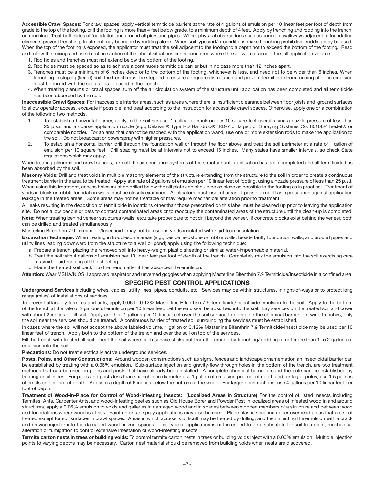**Accessible Crawl Spaces:** For crawl spaces, apply vertical termiticide barriers at the rate of 4 gallons of emulsion per 10 linear feet per foot of depth from grade to the top of the footing, or if the footing is more than 4 feet below grade, to a minimum depth of 4 feet. Apply by trenching and rodding into the trench, or trenching. Treat both sides of foundation and around all piers and pipes. Where physical obstructions such as concrete walkways adjacent to foundation elements prevent trenching, treatment may be made by rodding alone. When soil type and/or conditions make trenching prohibitive, rodding may be used. When the top of the footing is exposed, the applicator must treat the soil adjacent to the footing to a depth not to exceed the bottom of the footing. Read and follow the mixing and use direction section of the label if situations are encountered where the soil will not accept the full application volume.

- 1. Rod holes and trenches must not extend below the bottom of the footing.
- 2. Rod holes must be spaced so as to achieve a continuous termiticide barrier but in no case more than 12 inches apart.
- 3. Trenches must be a minimum of 6 inches deep or to the bottom of the footing, whichever is less, and need not to be wider than 6 inches. When trenching in sloping (tiered) soil, the trench must be stepped to ensure adequate distribution and prevent termiticide from running off. The emulsion must be mixed with the soil as it is replaced in the trench.
- 4. When treating plenums or crawl spaces, turn off the air circulation system of the structure until application has been completed and all termiticide has been absorbed by the soil.

**Inaccessible Crawl Spaces:** For inaccessible interior areas, such as areas where there is insufficient clearance between floor joists and ground surfaces to allow operator access, excavate if possible, and treat according to the instruction for accessible crawl spaces. Otherwise, apply one or a combination of the following two methods.

- 1. To establish a horizontal barrier, apply to the soil surface, 1 gallon of emulsion per 10 square feet overall using a nozzle pressure of less than 25 p.s.i. and a coarse application nozzle (e.g., Delavan® Type RD Raindrop®, RD-7 or larger, or Spraying Systems Co. 8010LP TeeJet® or comparable nozzle). For an area that cannot be reached with the application wand, use one or more extension rods to make the application to the soil. Do not broadcast or powerspray with higher pressures.
- 2. To establish a horizontal barrier, drill through the foundation wall or through the floor above and treat the soil perimeter at a rate of 1 gallon of emulsion per 10 square feet. Drill spacing must be at intervals not to exceed 16 inches. Many states have smaller intervals, so check State regulations which may apply.

When treating plenums and crawl spaces, turn off the air circulation systems of the structure until application has been completed and all termiticide has been absorbed by the soil.

**Masonry Voids:** Drill and treat voids in multiple masonry elements of the structure extending from the structure to the soil in order to create a continuous treatment barrier in the area to be treated. Apply at a rate of 2 gallons of emulsion per 10 linear feet of footing, using a nozzle pressure of less than 25 p.s.i. When using this treatment, access holes must be drilled below the sill plate and should be as close as possible to the footing as is practical. Treatment of voids in block or rubble foundation walls must be closely examined. Applicators must inspect areas of possible runoff as a precaution against application leakage in the treated areas. Some areas may not be treatable or may require mechanical alteration prior to treatment.

All leaks resulting in the deposition of termiticide in locations other than those prescribed on this label must be cleaned up prior to leaving the application site. Do not allow people or pets to contact contaminated areas or to reoccupy the contaminated areas of the structure until the clean-up is completed. Note: When treating behind veneer structures (walls, etc.) take proper care to not drill beyond the veneer. If concrete blocks exist behind the veneer, both can be drilled and treated simultaneously.

Masterline Bifenthrin 7.9 Termiticide/Insecticide may not be used in voids insulated with rigid foam insulation.

**Excavation Technique:** When treating in troublesome areas (e.g., beside fieldstone or rubble walls, beside faulty foundation walls, and around pipes and utility lines leading downward from the structure to a well or pond) apply using the following technique:

- a. Prepare a trench, placing the removed soil into heavy-weight plastic sheeting or similar, water-impermeable material.
- b. Treat the soil with 4 gallons of emulsion per 10 linear feet per foot of depth of the trench. Completely mix the emulsion into the soil exercising care to avoid liquid running off the sheeting.
- c. Place the treated soil back into the trench after it has absorbed the emulsion.

**Attention:** Wear MSHA/NIOSH approved respirator and unvented goggles when applying Masterline Bifenthrin 7.9 Termiticide/Insecticide in a confined area.

## **SPECIFIC PEST CONTROL APPLICATIONS**

**Underground Services** including wires, cables, utility lines, pipes, conduits, etc. Services may be within structures, in right-of-ways or to protect long range (miles) of installations of services.

To prevent attack by termites and ants, apply 0.06 to 0.12% Masterline Bifenthrin 7.9 Termiticide/Insecticide emulsion to the soil. Apply to the bottom of the trench at the rate of 2 gallons of emulsion per 10 linear feet. Let the emulsion be absorbed into the soil. Lay services on the treated soil and cover with about 2 inches of fill soil. Apply another 2 gallons per 10 linear feet over the soil surface to complete the chemical barrier. In wide trenches, only the soil near the services should be treated. A continuous barrier of treated soil surrounding the services must be established.

In cases where the soil will not accept the above labeled volume, 1 gallon of 0.12% Masterline Bifenthrin 7.9 Termiticide/Insecticide may be used per 10 linear feet of trench. Apply both to the bottom of the trench and over the soil on top of the services.

Fill the trench with treated fill soil. Treat the soil where each service sticks out from the ground by trenching/ rodding of not more than 1 to 2 gallons of emulsion into the soil.

**Precautions:** Do not treat electrically active underground services.

**Posts, Poles, and Other Constructions:** Around wooden constructions such as signs, fences and landscape ornamentation an insecticidal barrier can be established by treating with a 0.06% emulsion. Sub-surface injection and gravity-flow through holes in the bottom of the trench, are two treatment methods that can be used on poles and posts that have already been installed. A complete chemical barrier around the pole can be established by treating on all sides. For poles and posts less than six inches in diameter use 1 gallon of emulsion per foot of depth and for larger poles, use 1.5 gallons of emulsion per foot of depth. Apply to a depth of 6 inches below the bottom of the wood. For larger constructions, use 4 gallons per 10 linear feet per foot of depth.

**Treatment of Wood-in-Place for Control of Wood-Infesting Insects: (Localized Areas in Structure)** For the control of listed insects including Termites, Ants, Carpenter Ants, and wood-infesting beetles such as Old House Borer and Powder Post in localized areas of infested wood in and around structures, apply a 0.06% emulsion to voids and galleries in damaged wood and in spaces between wooden members of a structure and between wood and foundations where wood is at risk. Paint on or fan spray applications may also be used. Place plastic sheeting under overhead areas that are spot treated except for soil surfaces in crawl spaces. Areas in which access is difficult may be treated by drilling, and then injecting the emulsion with a crack and crevice injector into the damaged wood or void spaces. This type of application is not intended to be a substitute for soil treatment, mechanical alteration or fumigation to control extensive infestation of wood-infesting insects.

**Termite carton nests in trees or building voids:** To control termite carton nests in trees or building voids inject with a 0.06% emulsion. Multiple injection points to varying depths may be necessary. Carton nest material should be removed from building voids when nests are discovered.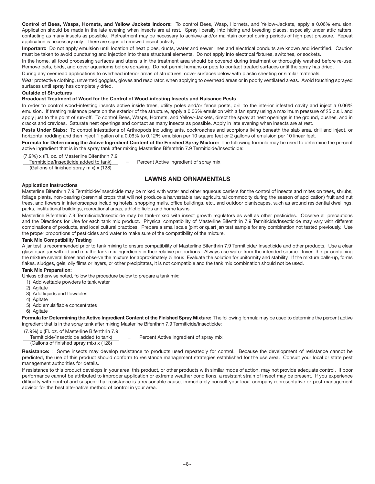**Control of Bees, Wasps, Hornets, and Yellow Jackets Indoors:** To control Bees, Wasp, Hornets, and Yellow-Jackets, apply a 0.06% emulsion. Application should be made in the late evening when insects are at rest. Spray liberally into hiding and breeding places, especially under attic rafters, contacting as many insects as possible. Retreatment may be necessary to achieve and/or maintain control during periods of high pest pressure. Repeat application is necessary only if there are signs of renewed insect activity.

**Important:** Do not apply emulsion until location of heat pipes, ducts, water and sewer lines and electrical conduits are known and identified. Caution must be taken to avoid puncturing and injection into these structural elements. Do not apply into electrical fixtures, switches, or sockets.

In the home, all food processing surfaces and utensils in the treatment area should be covered during treatment or thoroughly washed before re-use. Remove pets, birds, and cover aquariums before spraying. Do not permit humans or pets to contact treated surfaces until the spray has dried.

During any overhead applications to overhead interior areas of structures, cover surfaces below with plastic sheeting or similar materials.

Wear protective clothing, unvented goggles, gloves and respirator, when applying to overhead areas or in poorly ventilated areas. Avoid touching sprayed surfaces until spray has completely dried.

#### **Outside of Structures**

#### **Broadcast Treatment of Wood for the Control of Wood-infesting Insects and Nuisance Pests**

In order to control wood-infesting insects active inside trees, utility poles and/or fence posts, drill to the interior infested cavity and inject a 0.06% emulsion. If treating nuisance pests on the exterior of the structure, apply a 0.06% emulsion with a fan spray using a maximum pressure of 25 p.s.i. and apply just to the point of run-off. To control Bees, Wasps, Hornets, and Yellow-Jackets, direct the spray at nest openings in the ground, bushes, and in cracks and crevices. Saturate nest openings and contact as many insects as possible. Apply in late evening when insects are at rest.

Pests Under Slabs: To control infestations of Arthropods including ants, cockroaches and scorpions living beneath the slab area, drill and inject, or horizontal rodding and then inject 1 gallon of a 0.06% to 0.12% emulsion per 10 square feet or 2 gallons of emulsion per 10 linear feet.

**Formula for Determining the Active Ingredient Content of the Finished Spray Mixture:** The following formula may be used to determine the percent active ingredient that is in the spray tank after mixing Masterline Bifenthrin 7.9 Termiticide/Insecticide:

(7.9%) x (Fl. oz. of Masterline Bifenthrin 7.9

= Percent Active Ingredient of spray mix

Termiticide/Insecticide added to tank) (Gallons of finished spray mix) x (128)

# **LAWNS AND ORNAMENTALS**

#### **Application Instructions**

Masterline Bifenthrin 7.9 Termiticide/Insecticide may be mixed with water and other aqueous carriers for the control of insects and mites on trees, shrubs, foliage plants, non-bearing (perennial crops that will not produce a harvestable raw agricultural commodity during the season of application) fruit and nut trees, and flowers in interiorscapes including hotels, shopping malls, office buildings, etc., and outdoor plantscapes, such as around residential dwellings, parks, institutional buildings, recreational areas, athletic fields and home lawns.

Masterline Bifenthrin 7.9 Termiticide/Insecticide may be tank-mixed with insect growth regulators as well as other pesticides. Observe all precautions and the Directions for Use for each tank mix product. Physical compatibility of Masterline Bifenthrin 7.9 Termiticide/Insecticide may vary with different combinations of products, and local cultural practices. Prepare a small scale (pint or quart jar) test sample for any combination not tested previously. Use the proper proportions of pesticides and water to make sure of the compatibility of the mixture.

#### **Tank Mix Compatibility Testing**

A jar test is recommended prior to tank mixing to ensure compatibility of Masterline Bifenthrin 7.9 Termiticide/ Insecticide and other products. Use a clear glass quart jar with lid and mix the tank mix ingredients in their relative proportions. Always use water from the intended source. Invert the jar containing the mixture several times and observe the mixture for approximately ½ hour. Evaluate the solution for uniformity and stability. If the mixture balls-up, forms flakes, sludges, gels, oily films or layers, or other precipitates, it is not compatible and the tank mix combination should not be used.

#### **Tank Mix Preparation:**

Unless otherwise noted, follow the procedure below to prepare a tank mix:

1) Add wettable powders to tank water

- 2) Agitate
- 3) Add liquids and flowables
- 4) Agitate
- 5) Add emulsifiable concentrates
- 6) Agitate

Formula for Determining the Active Ingredient Content of the Finished Spray Mixture: The following formula may be used to determine the percent active ingredient that is in the spray tank after mixing Masterline Bifenthrin 7.9 Termiticide/Insecticide:

(7.9%) x (Fl. oz. of Masterline Bifenthrin 7.9

Termiticide/Insecticide added to tank) = Percent Active Ingredient of spray mix

(Gallons of finished spray mix) x (128)

**Resistance:** : Some insects may develop resistance to products used repeatedly for control. Because the development of resistance cannot be predicted, the use of this product should conform to resistance management strategies established for the use area. Consult your local or state pest management authorities for details.

If resistance to this product develops in your area, this product, or other products with similar mode of action, may not provide adequate control. If poor performance cannot be attributed to improper application or extreme weather conditions, a resistant strain of insect may be present. If you experience difficulty with control and suspect that resistance is a reasonable cause, immediately consult your local company representative or pest management advisor for the best alternative method of control in your area.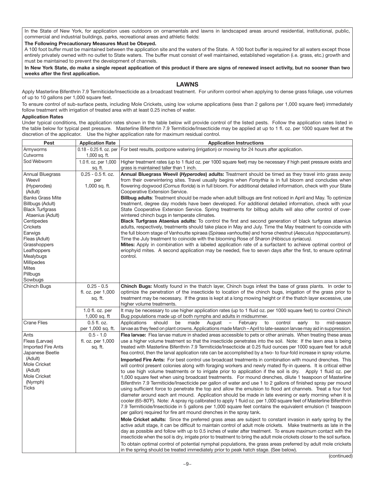In the State of New York, for application uses outdoors on ornamentals and lawns in landscaped areas around residential, institutional, public, commercial and industrial buildings, parks, recreational areas and athletic fields:

#### **The Following Precautionary Measures Must be Obeyed.**

A 100 foot buffer must be maintained between the application site and the waters of the State. A 100 foot buffer is required for all waters except those entirely privately owned with no outlet to State waters. The buffer must consist of well maintained, established vegetation (i.e. grass, etc.) growth and must be maintained to prevent the development of channels.

**In New York State, do make a single repeat application of this product if there are signs of renewed insect activity, but no sooner than two weeks after the first application.**

## **LAWNS**

Apply Masterline Bifenthrin 7.9 Termiticide/Insecticide as a broadcast treatment. For uniform control when applying to dense grass foliage, use volumes of up to 10 gallons per 1,000 square feet.

To ensure control of sub-surface pests, including Mole Crickets, using low volume applications (less than 2 gallons per 1,000 square feet) immediately follow treatment with irrigation of treated area with at least 0.25 inches of water.

#### **Application Rates**

Under typical conditions, the application rates shown in the table below will provide control of the listed pests. Follow the application rates listed in the table below for typical pest pressure. Masterline Bifenthrin 7.9 Termiticide/Insecticide may be applied at up to 1 fl. oz. per 1000 square feet at the discretion of the applicator. Use the higher application rate for maximum residual control.

| Pest                                                                                                                                                                                                                                                                                                            | <b>Application Rate</b>                      | <b>Application Instructions</b>                                                                                                                                                                                                                                                                                                                                                                                                                                                                                                                                                                                                                                                                                                                                                                                                                                                                                                                                                                                                                                                                                                                                                                                                                                                                                                                                                                                                                                                                                                                                                                                                                                                                                                                                                                                                                                                                                                                                                                                                                                                                                                                                                                                                                                                                     |
|-----------------------------------------------------------------------------------------------------------------------------------------------------------------------------------------------------------------------------------------------------------------------------------------------------------------|----------------------------------------------|-----------------------------------------------------------------------------------------------------------------------------------------------------------------------------------------------------------------------------------------------------------------------------------------------------------------------------------------------------------------------------------------------------------------------------------------------------------------------------------------------------------------------------------------------------------------------------------------------------------------------------------------------------------------------------------------------------------------------------------------------------------------------------------------------------------------------------------------------------------------------------------------------------------------------------------------------------------------------------------------------------------------------------------------------------------------------------------------------------------------------------------------------------------------------------------------------------------------------------------------------------------------------------------------------------------------------------------------------------------------------------------------------------------------------------------------------------------------------------------------------------------------------------------------------------------------------------------------------------------------------------------------------------------------------------------------------------------------------------------------------------------------------------------------------------------------------------------------------------------------------------------------------------------------------------------------------------------------------------------------------------------------------------------------------------------------------------------------------------------------------------------------------------------------------------------------------------------------------------------------------------------------------------------------------------|
| Armyworms<br>Cutworms                                                                                                                                                                                                                                                                                           | $0.18 - 0.25$ fl. oz. per<br>1,000 sq. ft.   | For best results, postpone watering (irrigation) or mowing for 24 hours after application.                                                                                                                                                                                                                                                                                                                                                                                                                                                                                                                                                                                                                                                                                                                                                                                                                                                                                                                                                                                                                                                                                                                                                                                                                                                                                                                                                                                                                                                                                                                                                                                                                                                                                                                                                                                                                                                                                                                                                                                                                                                                                                                                                                                                          |
| Sod Webworm                                                                                                                                                                                                                                                                                                     | 1.0 fl. oz. per 1,000                        | Higher treatment rates (up to 1 fluid oz. per 1000 square feet) may be necessary if high pest pressure exists and                                                                                                                                                                                                                                                                                                                                                                                                                                                                                                                                                                                                                                                                                                                                                                                                                                                                                                                                                                                                                                                                                                                                                                                                                                                                                                                                                                                                                                                                                                                                                                                                                                                                                                                                                                                                                                                                                                                                                                                                                                                                                                                                                                                   |
|                                                                                                                                                                                                                                                                                                                 | sq. ft.                                      | grass is maintained taller than 1 inch.                                                                                                                                                                                                                                                                                                                                                                                                                                                                                                                                                                                                                                                                                                                                                                                                                                                                                                                                                                                                                                                                                                                                                                                                                                                                                                                                                                                                                                                                                                                                                                                                                                                                                                                                                                                                                                                                                                                                                                                                                                                                                                                                                                                                                                                             |
| Annual Bluegrass<br>Weevil<br>(Hyperodes)<br>(Adult)<br><b>Banks Grass Mite</b><br><b>Billbugs (Adult)</b><br><b>Black Turfgrass</b><br>Ataenius (Adult)<br>Centipedes<br>Crickets<br>Earwigs<br>Fleas (Adult)<br>Grasshoppers<br>Leafhoppers<br>Mealybugs<br><b>Millipedes</b><br>Mites<br>Pillbugs<br>Sowbugs | $0.25 - 0.5$ fl. oz.<br>per<br>1,000 sq. ft. | Annual Bluegrass Weevil (Hyperodes) adults: Treatment should be timed as they travel into grass away<br>from their overwintering sites. Travel usually begins when Forsythia is in full bloom and concludes when<br>flowering dogwood (Cornus florida) is in full bloom. For additional detailed information, check with your State<br>Cooperative Extension Service.<br>Billbug adults: Treatment should be made when adult billbugs are first noticed in April and May. To optimize<br>treatment, degree day models have been developed. For additional detailed information, check with your<br>State Cooperative Extension Service. Spring treatments for billbug adults will also offer control of over-<br>wintered chinch bugs in temperate climates.<br><b>Black Turfgrass Ataenius adults:</b> To control the first and second generation of black turfgrass ataenius<br>adults, respectively, treatments should take place in May and July. Time the May treatment to coincide with<br>the full bloom stage of Vanhoutte spiraea (Spiraea vanhouttei) and horse chestnut (Aesculus hippocastanum).<br>Time the July treatment to coincide with the blooming Rose of Sharon (Hibiscus syriacus).<br>Mites: Apply in combination with a labeled application rate of a surfactant to achieve optimal control of<br>eriophyid mites. A second application may be needed, five to seven days after the first, to ensure optimal<br>control.                                                                                                                                                                                                                                                                                                                                                                                                                                                                                                                                                                                                                                                                                                                                                                                                                                                    |
| Chinch Bugs                                                                                                                                                                                                                                                                                                     | $0.25 - 0.5$<br>fl. oz. per 1,000<br>sq. ft. | Chinch Bugs: Mostly found in the thatch layer, Chinch bugs infest the base of grass plants. In order to<br>optimize the penetration of the insecticide to location of the chinch bugs, irrigation of the grass prior to<br>treatment may be necessary. If the grass is kept at a long mowing height or if the thatch layer excessive, use<br>higher volume treatments.                                                                                                                                                                                                                                                                                                                                                                                                                                                                                                                                                                                                                                                                                                                                                                                                                                                                                                                                                                                                                                                                                                                                                                                                                                                                                                                                                                                                                                                                                                                                                                                                                                                                                                                                                                                                                                                                                                                              |
|                                                                                                                                                                                                                                                                                                                 | $1.0$ fl. oz. per<br>1,000 sq. ft            | It may be necessary to use higher application rates (up to 1 fluid oz. per 1000 square feet) to control Chinch<br>Bug populations made up of both nymphs and adults in midsummer.                                                                                                                                                                                                                                                                                                                                                                                                                                                                                                                                                                                                                                                                                                                                                                                                                                                                                                                                                                                                                                                                                                                                                                                                                                                                                                                                                                                                                                                                                                                                                                                                                                                                                                                                                                                                                                                                                                                                                                                                                                                                                                                   |
| <b>Crane Flies</b>                                                                                                                                                                                                                                                                                              | 0.5 fl. oz.<br>per 1,000 sq. ft.             | Applications<br>made<br>August<br>mid-season<br>should<br>be<br>$\sim$ $ \sim$<br>February<br>to<br>control<br>early<br>to<br>larvae as they feed on plant crowns. Applications made March - April to late-season larvae may aid in suppression.                                                                                                                                                                                                                                                                                                                                                                                                                                                                                                                                                                                                                                                                                                                                                                                                                                                                                                                                                                                                                                                                                                                                                                                                                                                                                                                                                                                                                                                                                                                                                                                                                                                                                                                                                                                                                                                                                                                                                                                                                                                    |
| Ants<br>Fleas (Larvae)<br><b>Imported Fire Ants</b><br>Japanese Beetle<br>(Adult)<br>Mole Cricket<br>(Adult)<br>Mole Cricket<br>(Nymph)<br>Ticks                                                                                                                                                                | $0.5 - 1.0$<br>fl. oz. per 1,000<br>sq. ft.  | Flea larvae: Flea larvae mature in shaded areas accessible to pets or other animals. When treating these areas<br>use a higher volume treatment so that the insecticide penetrates into the soil. Note: If the lawn area is being<br>treated with Masterline Bifenthrin 7.9 Termiticide/Insecticide at 0.25 fluid ounces per 1000 square feet for adult<br>flea control, then the larval application rate can be accomplished by a two- to four-fold increase in spray volume.<br><b>Imported Fire Ants:</b> For best control use broadcast treatments in combination with mound drenches. This<br>will control present colonies along with foraging workers and newly mated fly-in queens. It is critical either<br>to use high volume treatments or to irrigate prior to application if the soil is dry. Apply 1 fluid oz. per<br>1,000 square feet when using broadcast treatments. For mound drenches, dilute 1 teaspoon of Masterline<br>Bifenthrin 7.9 Termiticide/Insecticide per gallon of water and use 1 to 2 gallons of finished spray per mound<br>using sufficient force to penetrate the top and allow the emulsion to flood ant channels. Treat a four foot<br>diameter around each ant mound. Application should be made in late evening or early morning when it is<br>cooler (65-80°F). Note: A spray rig calibrated to apply 1 fluid oz. per 1,000 square feet of Masterline Bifenthrin<br>7.9 Termiticide/Insecticide in 5 gallons per 1,000 square feet contains the equivalent emulsion (1 teaspoon<br>per gallon) required for fire ant mound drenches in the spray tank.<br><b>Mole Cricket adults:</b> Since the preferred grass areas are subject to constant invasion in early spring by the<br>active adult stage, it can be difficult to maintain control of adult mole crickets. Make treatments as late in the<br>day as possible and follow with up to 0.5 inches of water after treatment. To ensure maximum contact with the<br>insecticide when the soil is dry, irrigate prior to treatment to bring the adult mole crickets closer to the soil surface.<br>To obtain optimal control of potential nymphal populations, the grass areas preferred by adult mole crickets<br>in the spring should be treated immediately prior to peak hatch stage. (See below). |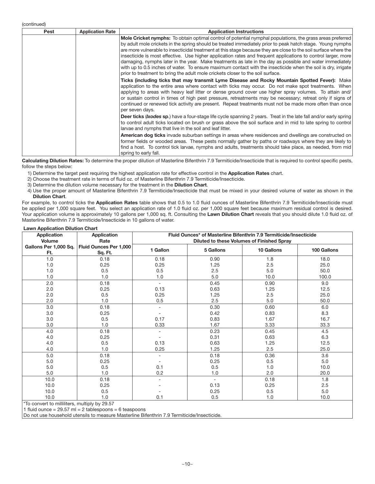(continued)

| Pest | <b>Application Rate</b> | <b>Application Instructions</b>                                                                                                                                                                                                                                                                                                                                                                                                                                                                                                                                                                                                                                                                                                                                               |
|------|-------------------------|-------------------------------------------------------------------------------------------------------------------------------------------------------------------------------------------------------------------------------------------------------------------------------------------------------------------------------------------------------------------------------------------------------------------------------------------------------------------------------------------------------------------------------------------------------------------------------------------------------------------------------------------------------------------------------------------------------------------------------------------------------------------------------|
|      |                         | Mole Cricket nymphs: To obtain optimal control of potential nymphal populations, the grass areas preferred<br>by adult mole crickets in the spring should be treated immediately prior to peak hatch stage. Young nymphs<br>are more vulnerable to insecticidal treatment at this stage because they are close to the soil surface where the<br>insecticide is most effective. Use higher application rates and frequent applications to control larger, more<br>damaging, nymphs later in the year. Make treatments as late in the day as possible and water immediately<br>with up to 0.5 inches of water. To ensure maximum contact with the insecticide when the soil is dry, irrigate<br>prior to treatment to bring the adult mole crickets closer to the soil surface. |
|      |                         | Ticks (including ticks that may transmit Lyme Disease and Rocky Mountain Spotted Fever): Make<br>application to the entire area where contact with ticks may occur. Do not make spot treatments. When<br>applying to areas with heavy leaf litter or dense ground cover use higher spray volumes. To attain and/<br>or sustain control in times of high pest pressure, retreatments may be necessary; retreat only if signs of<br>continued or renewed tick activity are present. Repeat treatments must not be made more often than once<br>per seven days.                                                                                                                                                                                                                  |
|      |                         | <b>Deer ticks (Ixodes sp.)</b> have a four-stage life cycle spanning 2 years. Treat in the late fall and/or early spring<br>to control adult ticks located on brush or grass above the soil surface and in mid to late spring to control<br>larvae and nymphs that live in the soil and leaf litter.                                                                                                                                                                                                                                                                                                                                                                                                                                                                          |
|      |                         | American dog ticks invade suburban settings in areas where residences and dwellings are constructed on<br>former fields or wooded areas. These pests normally gather by paths or roadways where they are likely to<br>find a host. To control tick larvae, nymphs and adults, treatments should take place, as needed, from mid<br>spring to early fall.                                                                                                                                                                                                                                                                                                                                                                                                                      |

**Calculating Dilution Rates:** To determine the proper dilution of Masterline Bifenthrin 7.9 Termiticide/Insecticide that is required to control specific pests, follow the steps below:

1) Determine the target pest requiring the highest application rate for effective control in the **Application Rates** chart.

- 2) Choose the treatment rate in terms of fluid oz. of Masterline Bifenthrin 7.9 Termiticide/Insecticide.
- 3) Determine the dilution volume necessary for the treatment in the **Dilution Chart**.

4) Use the proper amount of Masterline Bifenthrin 7.9 Termiticide/Insecticide that must be mixed in your desired volume of water as shown in the **Dilution Chart**.

For example, to control ticks the **Application Rates** table shows that 0.5 to 1.0 fluid ounces of Masterline Bifenthrin 7.9 Termiticide/Insecticide must be applied per 1,000 square feet. You select an application rate of 1.0 fluid oz. per 1,000 square feet because maximum residual control is desired. Your application volume is approximately 10 gallons per 1,000 sq. ft. Consulting the **Lawn Dilution Chart** reveals that you should dilute 1.0 fluid oz. of Masterline Bifenthrin 7.9 Termiticide/Insecticide in 10 gallons of water.

| <b>Lawn Application Dilution Chart</b> |  |
|----------------------------------------|--|
|                                        |  |

| <b>Application</b><br>Volume | <b>Application</b><br>Rate        | Fluid Ounces* of Masterline Bifenthrin 7.9 Termiticide/Insecticide<br>Diluted to these Volumes of Finished Spray |                          |            |             |
|------------------------------|-----------------------------------|------------------------------------------------------------------------------------------------------------------|--------------------------|------------|-------------|
| Gallons Per 1,000 Sq.<br>Ft. | Fluid Ounces Per 1,000<br>Sq. Ft. | 1 Gallon                                                                                                         | 5 Gallons                | 10 Gallons | 100 Gallons |
| 1.0                          | 0.18                              | 0.18                                                                                                             | 0.90                     | 1.8        | 18.0        |
| 1.0                          | 0.25                              | 0.25                                                                                                             | 1.25                     | 2.5        | 25.0        |
| 1.0                          | 0.5                               | 0.5                                                                                                              | 2.5                      | 5.0        | 50.0        |
| 1.0                          | 1.0                               | 1.0                                                                                                              | 5.0                      | 10.0       | 100.0       |
| 2.0                          | 0.18                              |                                                                                                                  | 0.45                     | 0.90       | 9.0         |
| 2.0                          | 0.25                              | 0.13                                                                                                             | 0.63                     | 1.25       | 12.5        |
| 2.0                          | 0.5                               | 0.25                                                                                                             | 1.25                     | 2.5        | 25.0        |
| 2.0                          | 1.0                               | 0.5                                                                                                              | 2.5                      | 5.0        | 50.0        |
| 3.0                          | 0.18                              |                                                                                                                  | 0.30                     | 0.60       | 6.0         |
| 3.0                          | 0.25                              |                                                                                                                  | 0.42                     | 0.83       | 8.3         |
| 3.0                          | 0.5                               | 0.17                                                                                                             | 0.83                     | 1.67       | 16.7        |
| 3.0                          | 1.0                               | 0.33                                                                                                             | 1.67                     | 3.33       | 33.3        |
| 4.0                          | 0.18                              |                                                                                                                  | 0.23                     | 0.45       | 4.5         |
| 4.0                          | 0.25                              |                                                                                                                  | 0.31                     | 0.63       | 6.3         |
| 4.0                          | 0.5                               | 0.13                                                                                                             | 0.63                     | 1.25       | 12.5        |
| 4.0                          | 1.0                               | 0.25                                                                                                             | 1.25                     | 2.5        | 25.0        |
| 5.0                          | 0.18                              |                                                                                                                  | 0.18                     | 0.36       | 3.6         |
| 5.0                          | 0.25                              |                                                                                                                  | 0.25                     | 0.5        | 5.0         |
| 5.0                          | 0.5                               | 0.1                                                                                                              | 0.5                      | 1.0        | 10.0        |
| 5.0                          | 1.0                               | 0.2                                                                                                              | 1.0                      | 2.0        | 20.0        |
| 10.0                         | 0.18                              |                                                                                                                  | $\overline{\phantom{a}}$ | 0.18       | 1.8         |
| 10.0                         | 0.25                              |                                                                                                                  | 0.13                     | 0.25       | 2.5         |
| 10.0                         | 0.5                               |                                                                                                                  | 0.25                     | 0.5        | 5.0         |
| 10.0                         | 1.0                               | 0.1                                                                                                              | 0.5                      | 1.0        | 10.0        |

\*To convert to milliliters, multiply by 29.57

1 fluid ounce =  $29.57$  ml = 2 tablespoons = 6 teaspoons

Do not use household utensils to measure Masterline Bifenthrin 7.9 Termiticide/Insecticide.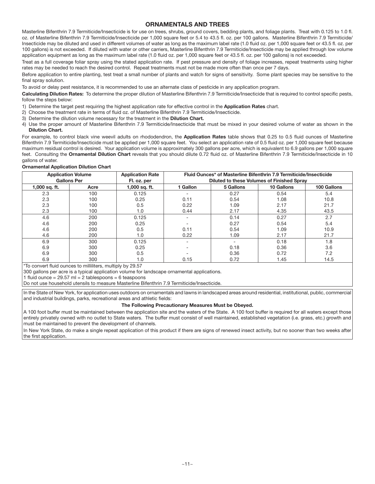# **ORNAMENTALS AND TREES**

Masterline Bifenthrin 7.9 Termiticide/Insecticide is for use on trees, shrubs, ground covers, bedding plants, and foliage plants. Treat with 0.125 to 1.0 fl. oz. of Masterline Bifenthrin 7.9 Termiticide/Insecticide per 1,000 square feet or 5.4 to 43.5 fl. oz. per 100 gallons. Masterline Bifenthrin 7.9 Termiticide/ Insecticide may be diluted and used in different volumes of water as long as the maximum label rate (1.0 fluid oz. per 1,000 square feet or 43.5 fl. oz. per 100 gallons) is not exceeded. If diluted with water or other carriers, Masterline Bifenthrin 7.9 Termiticide/Insecticide may be applied through low volume application equipment as long as the maximum label rate (1.0 fluid oz. per 1,000 square feet or 43.5 fl. oz. per 100 gallons) is not exceeded.

Treat as a full coverage foliar spray using the stated application rate. If pest pressure and density of foliage increases, repeat treatments using higher rates may be needed to reach the desired control. Repeat treatments must not be made more often than once per 7 days.

Before application to entire planting, test treat a small number of plants and watch for signs of sensitivity. Some plant species may be sensitive to the final spray solution.

To avoid or delay pest resistance, it is recommended to use an alternate class of pesticide in any application program.

**Calculating Dilution Rates:** To determine the proper dilution of Masterline Bifenthrin 7.9 Termiticide/Insecticide that is required to control specific pests, follow the steps below:

1) Determine the target pest requiring the highest application rate for effective control in the **Application Rates** chart.

2) Choose the treatment rate in terms of fluid oz. of Masterline Bifenthrin 7.9 Termiticide/Insecticide.

- 3) Determine the dilution volume necessary for the treatment in the **Dilution Chart.**
- 4) Use the proper amount of Masterline Bifenthrin 7.9 Termiticide/Insecticide that must be mixed in your desired volume of water as shown in the **Dilution Chart.**

For example, to control black vine weevil adults on rhododendron, the **Application Rates** table shows that 0.25 to 0.5 fluid ounces of Masterline Bifenthrin 7.9 Termiticide/Insecticide must be applied per 1,000 square feet. You select an application rate of 0.5 fluid oz. per 1,000 square feet because maximum residual control is desired. Your application volume is approximately 300 gallons per acre, which is equivalent to 6.9 gallons per 1,000 square feet. Consulting the **Ornamental Dilution Chart** reveals that you should dilute 0.72 fluid oz. of Masterline Bifenthrin 7.9 Termiticide/Insecticide in 10 gallons of water.

#### **Ornamental Application Dilution Chart**

|                 | <b>Application Volume</b><br><b>Gallons Per</b> | <b>Application Rate</b><br>Fl. oz. per | Fluid Ounces* of Masterline Bifenthrin 7.9 Termiticide/Insecticide<br>Diluted to these Volumes of Finished Spray |           |            |             |
|-----------------|-------------------------------------------------|----------------------------------------|------------------------------------------------------------------------------------------------------------------|-----------|------------|-------------|
| $1,000$ sq. ft. | Acre                                            | $1,000$ sq. ft.                        | 1 Gallon                                                                                                         | 5 Gallons | 10 Gallons | 100 Gallons |
| 2.3             | 100                                             | 0.125                                  |                                                                                                                  | 0.27      | 0.54       | 5.4         |
| 2.3             | 100                                             | 0.25                                   | 0.11                                                                                                             | 0.54      | 1.08       | 10.8        |
| 2.3             | 100                                             | 0.5                                    | 0.22                                                                                                             | 1.09      | 2.17       | 21.7        |
| 2.3             | 100                                             | 1.0                                    | 0.44                                                                                                             | 2.17      | 4.35       | 43.5        |
| 4.6             | 200                                             | 0.125                                  |                                                                                                                  | 0.14      | 0.27       | 2.7         |
| 4.6             | 200                                             | 0.25                                   |                                                                                                                  | 0.27      | 0.54       | 5.4         |
| 4.6             | 200                                             | 0.5                                    | 0.11                                                                                                             | 0.54      | 1.09       | 10.9        |
| 4.6             | 200                                             | 1.0                                    | 0.22                                                                                                             | 1.09      | 2.17       | 21.7        |
| 6.9             | 300                                             | 0.125                                  |                                                                                                                  |           | 0.18       | 1.8         |
| 6.9             | 300                                             | 0.25                                   |                                                                                                                  | 0.18      | 0.36       | 3.6         |
| 6.9             | 300                                             | 0.5                                    |                                                                                                                  | 0.36      | 0.72       | 7.2         |
| 6.9             | 300                                             | 1.0                                    | 0.15                                                                                                             | 0.72      | 1.45       | 14.5        |

\*To convert fluid ounces to milliliters, multiply by 29.57

300 gallons per acre is a typical application volume for landscape ornamental applications.

1 fluid ounce =  $29.57$  ml = 2 tablespoons = 6 teaspoons

Do not use household utensils to measure Masterline Bifenthrin 7.9 Termiticide/Insecticide.

In the State of New York, for application uses outdoors on ornamentals and lawns in landscaped areas around residential, institutional, public, commercial and industrial buildings, parks, recreational areas and athletic fields:

#### **The Following Precautionary Measures Must be Obeyed.**

A 100 foot buffer must be maintained between the application site and the waters of the State. A 100 foot buffer is required for all waters except those entirely privately owned with no outlet to State waters. The buffer must consist of well maintained, established vegetation (i.e. grass, etc.) growth and must be maintained to prevent the development of channels.

In New York State, do make a single repeat application of this product if there are signs of renewed insect activity, but no sooner than two weeks after the first application.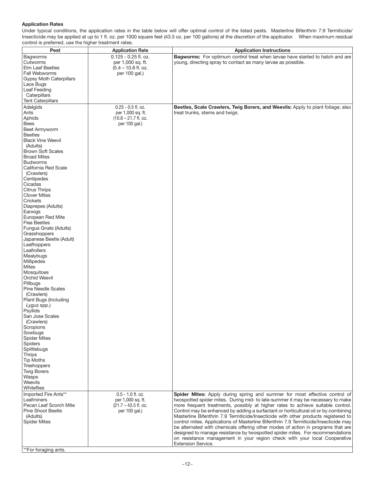## **Application Rates**

Under typical conditions, the application rates in the table below will offer optimal control of the listed pests. Masterline Bifenthrin 7.9 Termiticide/ Insecticide may be applied at up to 1 fl. oz. per 1000 square feet (43.5 oz. per 100 gallons) at the discretion of the applicator. When maximum residual control is preferred, use the higher treatment rates.

| Pest                                                                                                                                                                                                                                                                                                                                                                                                                                                                                                                                                                                                                                                                                                                                                                                                                                                                                        | <b>Application Rate</b>                                                             | <b>Application Instructions</b>                                                                                                                                                                                                                                                                                                                                                                                                                                                                                                                                                                                                                                                                                                                                                                       |
|---------------------------------------------------------------------------------------------------------------------------------------------------------------------------------------------------------------------------------------------------------------------------------------------------------------------------------------------------------------------------------------------------------------------------------------------------------------------------------------------------------------------------------------------------------------------------------------------------------------------------------------------------------------------------------------------------------------------------------------------------------------------------------------------------------------------------------------------------------------------------------------------|-------------------------------------------------------------------------------------|-------------------------------------------------------------------------------------------------------------------------------------------------------------------------------------------------------------------------------------------------------------------------------------------------------------------------------------------------------------------------------------------------------------------------------------------------------------------------------------------------------------------------------------------------------------------------------------------------------------------------------------------------------------------------------------------------------------------------------------------------------------------------------------------------------|
| <b>Bagworms</b><br>Cutworms<br>Elm Leaf Beetles<br>Fall Webworms<br><b>Gypsy Moth Caterpillars</b><br>Lace Bugs<br>Leaf Feeding<br>Caterpillars<br><b>Tent Caterpillars</b>                                                                                                                                                                                                                                                                                                                                                                                                                                                                                                                                                                                                                                                                                                                 | 0.125 - 0.25 fl. oz.<br>per 1,000 sq. ft.<br>$(5.4 - 10.8$ fl. oz.<br>per 100 gal.) | Bagworms: For optimum control treat when larvae have started to hatch and are<br>young, directing spray to contact as many larvae as possible.                                                                                                                                                                                                                                                                                                                                                                                                                                                                                                                                                                                                                                                        |
|                                                                                                                                                                                                                                                                                                                                                                                                                                                                                                                                                                                                                                                                                                                                                                                                                                                                                             | $0.25 - 0.5$ fl. oz.                                                                |                                                                                                                                                                                                                                                                                                                                                                                                                                                                                                                                                                                                                                                                                                                                                                                                       |
| Adelgids<br>Ants<br>Aphids<br><b>Bees</b><br>Beet Armyworm<br><b>Beetles</b><br><b>Black Vine Weevil</b><br>(Adults)<br><b>Brown Soft Scales</b><br><b>Broad Mites</b><br><b>Budworms</b><br>California Red Scale<br>(Crawlers)<br>Centipedes<br>Cicadas<br><b>Citrus Thrips</b><br><b>Clover Mites</b><br>Crickets<br>Diaprepes (Adults)<br>Earwigs<br>European Red Mite<br><b>Flea Beetles</b><br>Fungus Gnats (Adults)<br>Grasshoppers<br>Japanese Beetle (Adult)<br>Leafhoppers<br>Leafrollers<br>Mealybugs<br>Millipedes<br><b>Mites</b><br>Mosquitoes<br>Orchid Weevil<br>Pillbugs<br><b>Pine Needle Scales</b><br>(Crawlers)<br>Plant Bugs (Including<br>Lygus spp.)<br><b>Psyllids</b><br>San Jose Scales<br>(Crawlers)<br>Scropions<br>Sowbugs<br><b>Spider Mites</b><br>Spiders<br>Spittlebugs<br><b>Thrips</b><br><b>Tip Moths</b><br>Treehoppers<br><b>Twig Borers</b><br>Wasps | per 1,000 sq. ft.<br>$(10.8 - 21.7$ fl. oz.<br>per 100 gal.)                        | Beetles, Scale Crawlers, Twig Borers, and Weevils: Apply to plant foliage; also<br>treat trunks, stems and twigs.                                                                                                                                                                                                                                                                                                                                                                                                                                                                                                                                                                                                                                                                                     |
| Weevils<br>Whiteflies                                                                                                                                                                                                                                                                                                                                                                                                                                                                                                                                                                                                                                                                                                                                                                                                                                                                       |                                                                                     |                                                                                                                                                                                                                                                                                                                                                                                                                                                                                                                                                                                                                                                                                                                                                                                                       |
| Imported Fire Ants**<br>Leafminers<br>Pecan Leaf Scorch Mite<br><b>Pine Shoot Beetle</b><br>(Adults)<br><b>Spider Mites</b>                                                                                                                                                                                                                                                                                                                                                                                                                                                                                                                                                                                                                                                                                                                                                                 | 0.5 - 1.0 fl. oz.<br>per 1,000 sq. ft.<br>(21.7 - 43.5 fl. oz.<br>per 100 gal.)     | Spider Mites: Apply during spring and summer for most effective control of<br>twospotted spider mites. During mid- to late-summer it may be necessary to make<br>more frequent treatments, possibly at higher rates to achieve suitable control.<br>Control may be enhanced by adding a surfactant or horticultural oil or by combining<br>Masterline Bifenthrin 7.9 Termiticide/Insecticide with other products registered to<br>control mites. Applications of Masterline Bifenthrin 7.9 Termiticide/Insecticide may<br>be alternated with chemicals offering other modes of action in programs that are<br>designed to manage resistance by twospotted spider mites. For recommendations<br>on resistance management in your region check with your local Cooperative<br><b>Extension Service.</b> |

\*\*For foraging ants.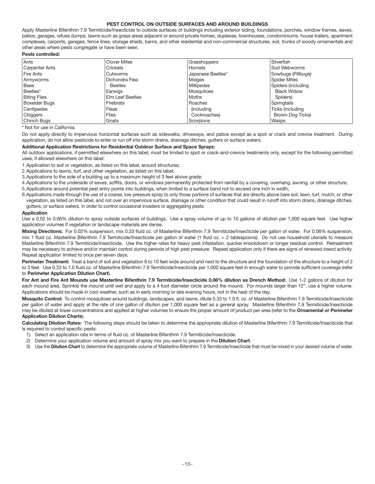## **PEST CONTROL ON OUTSIDE SURFACES AND AROUND BUILDINGS**

Apply Masterline Bifenthrin 7.9 Termiticide/Insecticide to outside surfaces of buildings including exterior siding, foundations, porches, window frames, eaves, patios, garages, refuse dumps, lawns such as grass areas adjacent or around private homes, duplexes, townhouses, condominiums, house trailers, apartment complexes, carports, garages, fence lines, storage sheds, barns, and other residential and non-commercial structures, soil, trunks of woody ornamentals and other areas where pests congregate or have been seen.

#### **Pests controlled:**

| Ants                  | <b>Clover Mites</b> | Grasshoppers       | Silverfish          |
|-----------------------|---------------------|--------------------|---------------------|
| <b>Carpenter Ants</b> | Crickets            | Hornets            | Sod Webworms        |
| Fire Ants             | Cutworms            | Japanese Beetles*  | Sowbugs (Pillbugs)  |
| Armyworms             | Dichondra Flea      | Midges             | <b>Spider Mites</b> |
| <b>Bees</b>           | <b>Beetles</b>      | <b>Millipedes</b>  | Spiders (including  |
| Beetles*              | Earwigs             | <b>Mosquitoes</b>  | <b>Black Widow</b>  |
| <b>Biting Flies</b>   | Elm Leaf Beetles    | Moths              | Spiders)            |
| Boxelder Bugs         | Firebrats           | Roaches            | Springtails         |
| Centipedes            | Fleas               | <i>(including)</i> | Ticks (including    |
| Chiggers              | <b>Flies</b>        | Cockroaches)       | Brown Dog Ticks)    |
| Chinch Buas           | Gnats               | Scorpions          | Wasps               |

\* Not for use in California.

Do not apply directly to impervious horizontal surfaces such as sidewalks, driveways, and patios except as a spot or crack and crevice treatment. During application, do not allow pesticide to enter or run off into storm drains, drainage ditches, gutters or surface waters.

#### **Additional Application Restrictions for Residential Outdoor Surface and Space Sprays:**

All outdoor applications, if permitted elsewhere on this label, must be limited to spot or crack-and-crevice treatments only, except for the following permitted uses, if allowed elsewhere on this label:

1.Application to soil or vegetation, as listed on this label, around structures;

- 2.Applications to lawns, turf, and other vegetation, as listed on this label;
- 3.Applications to the side of a building up to a maximum height of 3 feet above grade;
- 4.Applications to the underside of eaves, soffits, doors, or windows permanently protected from rainfall by a covering, overhang, awning, or other structure;
- 5.Applications around potential pest entry points into buildings, when limited to a surface band not to exceed one inch in width;
- 6.Applications made through the use of a coarse, low pressure spray to only those portions of surfaces that are directly above bare soil, lawn, turf, mulch, or other vegetation, as listed on this label, and not over an impervious surface, drainage or other condition that could result in runoff into storm drains, drainage ditches, gutters, or surface waters, in order to control occasional invaders or aggregating pests.

#### **Application**

Use a 0.02 to 0.06% dilution to spray outside surfaces of buildings. Use a spray volume of up to 10 gallons of dilution per 1,000 square feet. Use higher application volumes if vegetation or landscape materials are dense.

Mixing Directions: For 0.02% suspension, mix 0.33 fluid oz. of Masterline Bifenthrin 7.9 Termiticide/Insecticide per gallon of water. For 0.06% suspension, mix 1 fluid oz. Masterline Bifenthrin 7.9 Termiticide/Insecticide per gallon of water (1 fluid oz. = 2 tablespoons). Do not use household utensils to measure Masterline Bifenthrin 7.9 Termiticide/Insecticide. Use the higher rates for heavy pest infestation, quicker knockdown or longer residual control. Retreatment may be necessary to achieve and/or maintain control during periods of high pest pressure. Repeat application only if there are signs of renewed insect activity. Repeat application limited to once per seven days.

Perimeter Treatment: Treat a band of soil and vegetation 6 to 10 feet wide around and next to the structure and the foundation of the structure to a height of 2 to 3 feet. Use 0.33 to 1.0 fluid oz. of Masterline Bifenthrin 7.9 Termiticide/Insecticide per 1,000 square feet in enough water to provide sufficient coverage (refer to **Perimeter Application Dilution Chart**).

**For Ant and Fire Ant Mounds use Masterline Bifenthrin 7.9 Termiticide/Insecticide 0.06% dilution as Drench Method:** Use 1-2 gallons of dilution for each mound area. Sprinkle the mound until wet and apply to a 4 foot diameter circle around the mound. For mounds larger than 12", use a higher volume. Applications should be made in cool weather, such as in early morning or late evening hours, not in the heat of the day.

**Mosquito Control:** To control mosquitoes around buildings, landscapes, and lawns, dilute 0.33 to 1.0 fl. oz. of Masterline Bifenthrin 7.9 Termiticide/Insecticide per gallon of water and apply at the rate of one gallon of dilution per 1,000 square feet as a general spray. Masterline Bifenthrin 7.9 Termiticide/Insecticide may be diluted at lower concentrations and applied at higher volumes to ensure the proper amount of product per area (refer to the **Ornamental or Perimeter Application Dilution Charts**).

**Calculating Dilution Rates:** The following steps should be taken to determine the appropriate dilution of Masterline Bifenthrin 7.9 Termiticide/Insecticide that is required to control specific pests:

- 1) Select an application rate in terms of fluid oz. of Masterline Bifenthrin 7.9 Termiticide/Insecticide.
- 2) Determine your application volume and amount of spray mix you want to prepare in the **Dilution Chart**.
- 3) Use the **Dilution Chart** to determine the appropriate volume of Masterline Bifenthrin 7.9 Termiticide/Insecticide that must be mixed in your desired volume of water.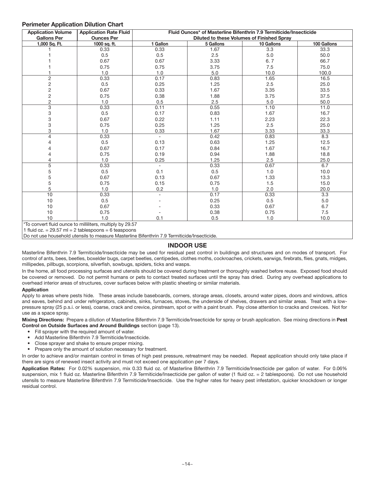## **Perimeter Application Dilution Chart**

| <b>Application Volume</b> | <b>Application Rate Fluid</b> | Fluid Ounces* of Masterline Bifenthrin 7.9 Termiticide/Insecticide |           |            |             |
|---------------------------|-------------------------------|--------------------------------------------------------------------|-----------|------------|-------------|
| <b>Gallons Per</b>        | <b>Ounces Per</b>             | Diluted to these Volumes of Finished Spray                         |           |            |             |
| 1,000 Sq. Ft.             | 1000 sq. ft.                  | 1 Gallon                                                           | 5 Gallons | 10 Gallons | 100 Gallons |
|                           | 0.33                          | 0.33                                                               | 1.67      | 3.3        | 33.3        |
|                           | 0.5                           | 0.5                                                                | 2.5       | 5.0        | 50.0        |
|                           | 0.67                          | 0.67                                                               | 3.33      | 6.7        | 66.7        |
|                           | 0.75                          | 0.75                                                               | 3.75      | 7.5        | 75.0        |
|                           | 1.0                           | 1.0                                                                | 5.0       | 10.0       | 100.0       |
| $\overline{c}$            | 0.33                          | 0.17                                                               | 0.83      | 1.65       | 16.5        |
| $\sqrt{2}$                | 0.5                           | 0.25                                                               | 1.25      | 2.5        | 25.0        |
| $\overline{c}$            | 0.67                          | 0.33                                                               | 1.67      | 3.35       | 33.5        |
| $\overline{\mathbf{c}}$   | 0.75                          | 0.38                                                               | 1.88      | 3.75       | 37.5        |
| 2                         | 1.0                           | 0.5                                                                | 2.5       | 5.0        | 50.0        |
| 3                         | 0.33                          | 0.11                                                               | 0.55      | 1.10       | 11.0        |
| 3                         | 0.5                           | 0.17                                                               | 0.83      | 1.67       | 16.7        |
| 3                         | 0.67                          | 0.22                                                               | 1.11      | 2.23       | 22.3        |
| 3                         | 0.75                          | 0.25                                                               | 1.25      | 2.5        | 25.0        |
| 3                         | 1.0                           | 0.33                                                               | 1.67      | 3.33       | 33.3        |
| 4                         | 0.33                          | $\blacksquare$                                                     | 0.42      | 0.83       | 8.3         |
|                           | 0.5                           | 0.13                                                               | 0.63      | 1.25       | 12.5        |
|                           | 0.67                          | 0.17                                                               | 0.84      | 1.67       | 16.7        |
|                           | 0.75                          | 0.19                                                               | 0.94      | 1.88       | 18.8        |
| 4                         | 1.0                           | 0.25                                                               | 1.25      | 2.5        | 25.0        |
| $\overline{5}$            | 0.33                          |                                                                    | 0.33      | 0.67       | 6.7         |
| 5                         | 0.5                           | 0.1                                                                | 0.5       | 1.0        | 10.0        |
| 5                         | 0.67                          | 0.13                                                               | 0.67      | 1.33       | 13.3        |
| 5                         | 0.75                          | 0.15                                                               | 0.75      | 1.5        | 15.0        |
| 5                         | 1.0                           | 0.2                                                                | 1.0       | 2.0        | 20.0        |
| 10                        | 0.33                          |                                                                    | 0.17      | 0.33       | 3.3         |
| 10                        | 0.5                           |                                                                    | 0.25      | 0.5        | 5.0         |
| 10                        | 0.67                          |                                                                    | 0.33      | 0.67       | 6.7         |
| 10                        | 0.75                          |                                                                    | 0.38      | 0.75       | 7.5         |
| 10<br>$\sim$ $\sim$       | 1.0                           | 0.1                                                                | 0.5       | 1.0        | 10.0        |

\*To convert fluid ounce to milliliters, multiply by 29.57

1 fluid  $oz = 29.57$  ml = 2 tablespoons = 6 teaspoons

Do not use household utensils to measure Masterline Bifenthrin 7.9 Termiticide/Insecticide.

# **INDOOR USE**

Masterline Bifenthrin 7.9 Termiticide/Insecticide may be used for residual pest control in buildings and structures and on modes of transport. For control of ants, bees, beetles, boxelder bugs, carpet beetles, centipedes, clothes moths, cockroaches, crickets, earwigs, firebrats, flies, gnats, midges, millipedes, pillbugs, scorpions, silverfish, sowbugs, spiders, ticks and wasps.

In the home, all food processing surfaces and utensils should be covered during treatment or thoroughly washed before reuse. Exposed food should be covered or removed. Do not permit humans or pets to contact treated surfaces until the spray has dried. During any overhead applications to overhead interior areas of structures, cover surfaces below with plastic sheeting or similar materials.

#### **Application**

Apply to areas where pests hide. These areas include baseboards, corners, storage areas, closets, around water pipes, doors and windows, attics and eaves, behind and under refrigerators, cabinets, sinks, furnaces, stoves, the underside of shelves, drawers and similar areas. Treat with a lowpressure spray (25 p.s.i. or less), coarse, crack and crevice, pinstream, spot or with a paint brush. Pay close attention to cracks and crevices. Not for use as a space spray.

**Mixing Directions:** Prepare a dilution of Masterline Bifenthrin 7.9 Termiticide/Insecticide for spray or brush application. See mixing directions in **Pest Control on Outside Surfaces and Around Buildings** section (page 13).

- Fill sprayer with the required amount of water.
- Add Masterline Bifenthrin 7.9 Termiticide/Insecticide.
- Close sprayer and shake to ensure proper mixing.
- Prepare only the amount of solution necessary for treatment.

In order to achieve and/or maintain control in times of high pest pressure, retreatment may be needed. Repeat application should only take place if there are signs of renewed insect activity and must not exceed one application per 7 days.

Application Rates: For 0.02% suspension, mix 0.33 fluid oz. of Masterline Bifenthrin 7.9 Termiticide/Insecticide per gallon of water. For 0.06% suspension, mix 1 fluid oz. Masterline Bifenthrin 7.9 Termiticide/Insecticide per gallon of water (1 fluid oz. = 2 tablespoons). Do not use household utensils to measure Masterline Bifenthrin 7.9 Termiticide/Insecticide. Use the higher rates for heavy pest infestation, quicker knockdown or longer residual control.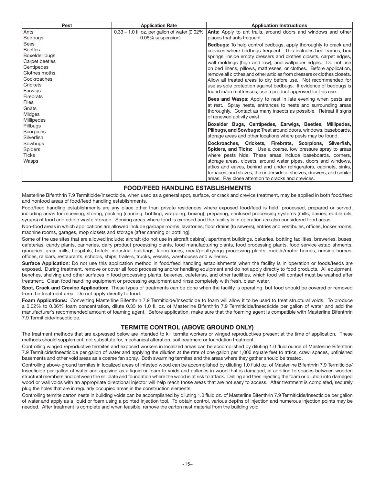| Pest           | <b>Application Rate</b>                            | <b>Application Instructions</b>                                         |
|----------------|----------------------------------------------------|-------------------------------------------------------------------------|
| Ants           | $0.33 - 1.0$ fl. oz. per gallon of water $(0.02\%$ | <b>Ants:</b> Apply to ant trails, around doors and windows and other    |
| <b>Bedbugs</b> | - 0.06% suspension)                                | places that ants frequent.                                              |
| Bees           |                                                    | <b>Bedbugs:</b> To help control bedbugs, apply thoroughly to crack and  |
| <b>Beetles</b> |                                                    | crevices where bedbugs frequent. This includes bed frames, box          |
| Boxelder bugs  |                                                    | springs, inside empty dressers and clothes closets, carpet edges,       |
| Carpet beetles |                                                    | wall moldings (high and low), and wallpaper edges. Do not use           |
| Centipedes     |                                                    | on bed linens, pillows, mattresses, or clothes. Before application,     |
| Clothes moths  |                                                    | remove all clothes and other articles from dressers or clothes closets. |
| Cockroaches    |                                                    | Allow all treated areas to dry before use. Not recommended for          |
| Crickets       |                                                    | use as sole protection against bedbugs. If evidence of bedbugs is       |
| Earwigs        |                                                    | found in/on mattresses, use a product approved for this use.            |
| Firebrats      |                                                    | <b>Bees and Wasps:</b> Apply to nest in late evening when pests are     |
| <b>Flies</b>   |                                                    | at rest. Spray nests, entrances to nests and surrounding areas          |
| Gnats          |                                                    | thoroughly. Contact as many insects as possible. Retreat if signs       |
| Midges         |                                                    | of renewed activity exist.                                              |
| Millipedes     |                                                    |                                                                         |
| Pillbugs       |                                                    | Boxelder Bugs, Centipedes, Earwigs, Beetles, Millipedes,                |
| Scorpions      |                                                    | Pillbugs, and Sowbugs: Treat around doors, windows, baseboards,         |
| Silverfish     |                                                    | storage areas and other locations where pests may be found.             |
| Sowbugs        |                                                    | Cockroaches, Crickets, Firebrats, Scorpions, Silverfish,                |
| <b>Spiders</b> |                                                    | <b>Spiders, and Ticks:</b> Use a coarse, low pressure spray to areas    |
| <b>Ticks</b>   |                                                    | where pests hide. These areas include baseboards, corners,              |
| Wasps          |                                                    | storage areas, closets, around water pipes, doors and windows,          |
|                |                                                    | attics and eaves, behind and under refrigerators, cabinets, sinks,      |
|                |                                                    | furnaces, and stoves, the underside of shelves, drawers, and similar    |
|                |                                                    | areas. Pay close attention to cracks and crevices.                      |

## **FOOD/FEED HANDLING ESTABLISHMENTS**

Masterline Bifenthrin 7.9 Termiticide/Insecticide, when used as a general spot, surface, or crack and crevice treatment, may be applied in both food/feed and nonfood areas of food/feed handling establishments.

Food/feed handling establishments are any place other than private residences where exposed food/feed is held, processed, prepared or served, including areas for receiving, storing, packing (canning, bottling, wrapping, boxing), preparing, enclosed processing systems (mills, dairies, edible oils, syrups) of food and edible waste storage. Serving areas where food is exposed and the facility is in operation are also considered food areas.

Non-food areas in which applications are allowed include garbage rooms, lavatories, floor drains (to sewers), entries and vestibules, offices, locker rooms, machine rooms, garages, mop closets and storage (after canning or bottling).

Some of the use sites that are allowed include: aircraft (do not use in aircraft cabins), apartment buildings, bakeries, bottling facilities, breweries, buses, cafeterias, candy plants, canneries, dairy product processing plants, food manufacturing plants, food processing plants, food service establishments, granaries, grain mills, hospitals, hotels, industrial buildings, laboratories, meat/poultry/egg processing plants, mobile/motor homes, nursing homes, offices, railcars, restaurants, schools, ships, trailers, trucks, vessels, warehouses and wineries.

**Surface Application:** Do not use this application method in food/feed handling establishments when the facility is in operation or foods/feeds are exposed. During treatment, remove or cover all food processing and/or handling equipment and do not apply directly to food products. All equipment, benches, shelving and other surfaces in food processing plants, bakeries, cafeterias, and other facilities, which food will contact must be washed after treatment. Clean food handling equipment or processing equipment and rinse completely with fresh, clean water.

**Spot, Crack and Crevice Application:** These types of treatments can be done when the facility is operating, but food should be covered or removed from the treatment area. Do not apply directly to food.

**Foam Applications:** Converting Masterline Bifenthrin 7.9 Termiticide/Insecticide to foam will allow it to be used to treat structural voids. To produce a 0.02% to 0.06% foam concentration, dilute 0.33 to 1.0 fl. oz. of Masterline Bifenthrin 7.9 Termiticide/Insecticide per gallon of water and add the manufacturer's recommended amount of foaming agent. Before application, make sure that the foaming agent is compatible with Masterline Bifenthrin 7.9 Termiticide/Insecticide.

# **TERMITE CONTROL (ABOVE GROUND ONLY)**

The treatment methods that are expressed below are intended to kill termite workers or winged reproductives present at the time of application. These methods should supplement, not substitute for, mechanical alteration, soil treatment or foundation treatment.

Controlling winged reproductive termites and exposed workers in localized areas can be accomplished by diluting 1.0 fluid ounce of Masterline Bifenthrin 7.9 Termiticide/Insecticide per gallon of water and applying the dilution at the rate of one gallon per 1,000 square feet to attics, crawl spaces, unfinished basements and other void areas as a coarse fan spray. Both swarming termites and the areas where they gather should be treated.

Controlling above-ground termites in localized areas of infested wood can be accomplished by diluting 1.0 fluid oz. of Masterline Bifenthrin 7.9 Termiticide/ Insecticide per gallon of water and applying as a liquid or foam to voids and galleries in wood that is damaged, in addition to spaces between wooden structural members and between the sill plate and foundation where the wood is at risk to attack. Drilling and then injecting the foam or dilution into damaged wood or wall voids with an appropriate directional injector will help reach those areas that are not easy to access. After treatment is completed, securely plug the holes that are in regularly occupied areas in the construction elements.

Controlling termite carton nests in building voids can be accomplished by diluting 1.0 fluid oz. of Masterline Bifenthrin 7.9 Termiticide/Insecticide per gallon of water and apply as a liquid or foam using a pointed injection tool. To obtain control, various depths of injection and numerous injection points may be needed. After treatment is complete and when feasible, remove the carton nest material from the building void.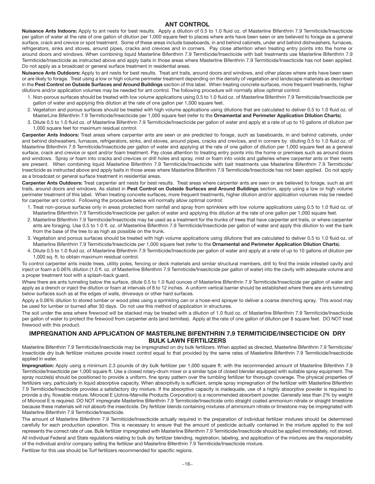## **ANT CONTROL**

**Nuisance Ants Indoors:** Apply to ant nests for best results. Apply a dilution of 0.5 to 1.0 fluid oz. of Masterline Bifenthrin 7.9 Termiticide/Insecticide per gallon of water at the rate of one gallon of dilution per 1,000 square feet to places where ants have been seen or are believed to forage as a general surface, crack and crevice or spot treatment. Some of these areas include baseboards, in and behind cabinets, under and behind dishwashers, furnaces, refrigerators, sinks and stoves, around pipes, cracks and crevices and in corners. Pay close attention when treating entry points into the home or around doors and windows. When combining liquid Masterline Bifenthrin 7.9 Termiticide/Insecticide with bait treatments use Masterline Bifenthrin 7.9 Termiticide/Insecticide as instructed above and apply baits in those areas where Masterline Bifenthrin 7.9 Termiticide/Insecticide has not been applied. Do not apply as a broadcast or general surface treatment in residential areas.

**Nuisance Ants Outdoors:** Apply to ant nests for best results. Treat ant trails, around doors and windows, and other places where ants have been seen or are likely to forage. Treat using a low or high volume perimeter treatment depending on the density of vegetation and landscape materials as described in the **Pest Control on Outside Surfaces and Around Buildings** section of this label. When treating concrete surfaces, more frequent treatments, higher dilutions and/or application volumes may be needed for ant control. The following procedure will normally allow optimal control:

- 1. Non-porous surfaces should be treated with low volume applications using 0.5 to 1.0 fluid oz. of Masterline Bifenthrin 7.9 Termiticide/Insecticide per gallon of water and applying this dilution at the rate of one gallon per 1,000 square feet.
- 2. Vegetation and porous surfaces should be treated with high volume applications using dilutions that are calculated to deliver 0.5 to 1.0 fluid oz. of MasterLine Bifenthrin 7.9 Termiticide/Insecticide per 1,000 square feet (refer to the **Ornamental and Perimeter Application Dilution Charts**).
- 3. Dilute 0.5 to 1.0 fluid oz. of Masterline Bifenthrin 7.9 Termiticide/Insecticide per gallon of water and apply at a rate of up to 10 gallons of dilution per 1,000 square feet for maximum residual control.

**Carpenter Ants Indoors:** Treat areas where carpenter ants are seen or are predicted to forage, such as baseboards, in and behind cabinets, under and behind dishwashers, furnaces, refrigerators, sinks, and stoves, around pipes, cracks and crevices, and in corners by diluting 0.5 to 1.0 fluid oz. of Masterline Bifenthrin 7.9 Termiticide/Insecticide per gallon of water and applying at the rate of one gallon of dilution per 1,000 square feet as a general surface, crack and crevice or spot and/or foam treatment. Pay close attention to treating entry points into the home or premises such as around doors and windows. Spray or foam into cracks and crevices or drill holes and spray, mist or foam into voids and galleries where carpenter ants or their nests are present. When combining liquid Masterline Bifenthrin 7.9 Termiticide/Insecticide with bait treatments use Masterline Bifenthrin 7.9 Termiticide/ Insecticide as instructed above and apply baits in those areas where Masterline Bifenthrin 7.9 Termiticide/Insecticide has not been applied. Do not apply as a broadcast or general surface treatment in residential areas.

**Carpenter Ants Outdoors:** Treat carpenter ant nests for best results. Treat areas where carpenter ants are seen or are believed to forage, such as ant trails, around doors and windows. As stated in **Pest Control on Outside Surfaces and Around Buildings** section, apply using a low or high volume perimeter treatment of this label. When treating concrete surfaces, more frequent treatments, higher dilution and/or application volumes may be needed for carpenter ant control. Following the procedure below will normally allow optimal control:

- 1. Treat non-porous surfaces only in areas protected from rainfall and spray from sprinklers with low volume applications using 0.5 to 1.0 fluid oz. of Masterline Bifenthrin 7.9 Termiticide/Insecticide per gallon of water and applying this dilution at the rate of one gallon per 1,000 square feet.
- 2. Masterline Bifenthrin 7.9 Termiticide/Insecticide may be used as a treatment for the trunks of trees that have carpenter ant trails, or where carpenter ants are foraging. Use 0.5 to 1.0 fl. oz. of Masterline Bifenthrin 7.9 Termiticide/Insecticide per gallon of water and apply this dilution to wet the bark from the base of the tree to as high as possible on the trunk.
- 3. Vegetation and porous surfaces should be treated with high volume applications using dilutions that are calculated to deliver 0.5 to 1.0 fluid oz. of Masterline Bifenthrin 7.9 Termiticide/Insecticide per 1,000 square feet (refer to the **Ornamental and Perimeter Application Dilution Charts**).
- 4. Dilute 0.5 to 1.0 fluid oz. of Masterline Bifenthrin 7.9 Termiticide/Insecticide per gallon of water and apply at a rate of up to 10 gallons of dilution per 1,000 sq. ft. to obtain maximum residual control.

To control carpenter ants inside trees, utility poles, fencing or deck materials and similar structural members, drill to find the inside infested cavity and inject or foam a 0.06% dilution (1.0 fl. oz. of Masterline Bifenthrin 7.9 Termiticide/Insecticide per gallon of water) into the cavity with adequate volume and a proper treatment tool with a splash-back guard.

Where there are ants tunneling below the surface, dilute 0.5 to 1.0 fluid ounces of Masterline Bifenthrin 7.9 Termiticide/Insecticide per gallon of water and apply as a drench or inject the dilution or foam at intervals of 8 to 12 inches. A uniform vertical barrier should be established where there are ants tunneling below surfaces such as at the edges of walls, driveways or other hard surfaces.

Apply a 0.06% dilution to stored lumber or wood piles using a sprinkling can or a hose-end sprayer to deliver a coarse drenching spray. This wood may be used for lumber or burned after 30 days. Do not use this method of application in structures.

The soil under the area where firewood will be stacked may be treated with a dilution of 1.0 fluid oz. of Masterline Bifenthrin 7.9 Termiticide/Insecticide per gallon of water to protect the firewood from carpenter ants (and termites). Apply at the rate of one gallon of dilution per 8 square feet. DO NOT treat firewood with this product.

# **IMPREGNATION AND APPLICATION OF MASTERLINE BIFENTHRIN 7.9 TERMITICIDE/INSECTICIDE ON DRY BULK LAWN FERTILIZERS**

Masterline Bifenthrin 7.9 Termiticide/Insecticide may be impregnated on dry bulk fertilizers. When applied as directed, Masterline Bifenthrin 7.9 Termiticide/ Insecticide dry bulk fertilizer mixtures provide insect control equal to that provided by the same rates of Masterline Bifenthrin 7.9 Termiticide/Insecticide applied in water.

**Impregnation:** Apply using a minimum 2.3 pounds of dry bulk fertilizer per 1,000 square ft. with the recommended amount of Masterline Bifenthrin 7.9 Termiticide/Insecticide per 1,000 square ft. Use a closed rotary-drum mixer or a similar type of closed blender equipped with suitable spray equipment. The spray nozzle(s) should be positioned to provide a uniform, fine spray pattern over the tumbling fertilizer for thorough coverage. The physical properties of fertilizers vary, particularly in liquid absorptive capacity. When absorptivity is sufficient, simple spray impregnation of the fertilizer with Masterline Bifenthrin 7.9 Termiticide/Insecticide provides a satisfactory dry mixture. If the absorptive capacity is inadequate, use of a highly absorptive powder is required to provide a dry, flowable mixture. Microcel E (Johns-Manville Products Corporation) is a recommended absorbent powder. Generally less than 2% by weight of Microcel E is required. DO NOT impregnate Masterline Bifenthrin 7.9 Termiticide/Insecticide onto straight coated ammonium nitrate or straight limestone because these materials will not absorb the insecticide. Dry fertilizer blends containing mixtures of ammonium nitrate or limestone may be impregnated with Masterline Bifenthrin 7.9 Termiticide/Insecticide.

The amount of Masterline Bifenthrin 7.9 Termiticide/Insecticide actually required in the preparation of individual fertilizer mixtures should be determined carefully for each production operation. This is necessary to ensure that the amount of pesticide actually contained in the mixture applied to the soil represents the correct rate of use. Bulk fertilizer impregnated with Masterline Bifenthrin 7.9 Termiticide/Insecticide should be applied immediately, not stored. All individual Federal and State regulations relating to bulk dry fertilizer blending, registration, labeling, and application of the mixtures are the responsibility of the individual and/or company selling the fertilizer and Masterline Bifenthrin 7.9 Termiticide/Insecticide mixture. Fertilizer for this use should be Turf fertilizers recommended for specific regions.